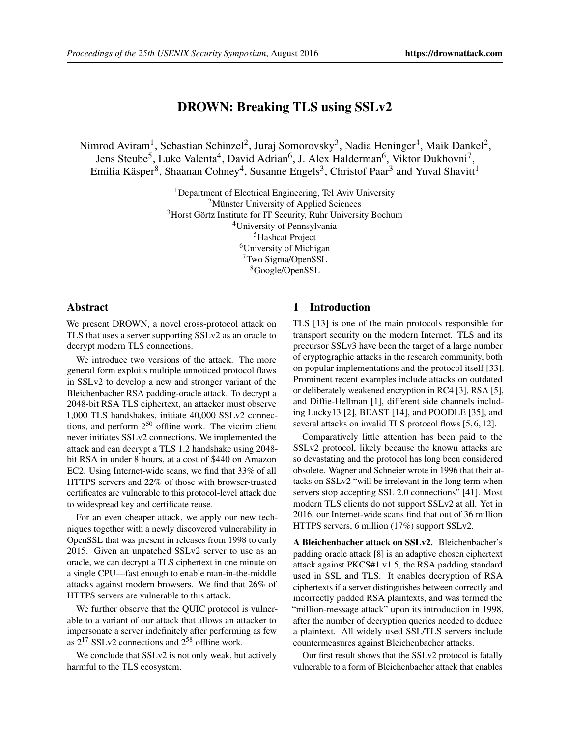# DROWN: Breaking TLS using SSLv2

Nimrod Aviram<sup>1</sup>, Sebastian Schinzel<sup>2</sup>, Juraj Somorovsky<sup>3</sup>, Nadia Heninger<sup>4</sup>, Maik Dankel<sup>2</sup>, Jens Steube<sup>5</sup>, Luke Valenta<sup>4</sup>, David Adrian<sup>6</sup>, J. Alex Halderman<sup>6</sup>, Viktor Dukhovni<sup>7</sup>, Emilia Käsper<sup>8</sup>, Shaanan Cohney<sup>4</sup>, Susanne Engels<sup>3</sup>, Christof Paar<sup>3</sup> and Yuval Shavitt<sup>1</sup>

> <sup>1</sup>Department of Electrical Engineering, Tel Aviv University <sup>2</sup>Münster University of Applied Sciences <sup>3</sup>Horst Görtz Institute for IT Security, Ruhr University Bochum University of Pennsylvania Hashcat Project University of Michigan Two Sigma/OpenSSL Google/OpenSSL

### Abstract

We present DROWN, a novel cross-protocol attack on TLS that uses a server supporting SSLv2 as an oracle to decrypt modern TLS connections.

We introduce two versions of the attack. The more general form exploits multiple unnoticed protocol flaws in SSLv2 to develop a new and stronger variant of the Bleichenbacher RSA padding-oracle attack. To decrypt a 2048-bit RSA TLS ciphertext, an attacker must observe 1,000 TLS handshakes, initiate 40,000 SSLv2 connections, and perform 2 <sup>50</sup> offline work. The victim client never initiates SSLv2 connections. We implemented the attack and can decrypt a TLS 1.2 handshake using 2048 bit RSA in under 8 hours, at a cost of \$440 on Amazon EC2. Using Internet-wide scans, we find that 33% of all HTTPS servers and 22% of those with browser-trusted certificates are vulnerable to this protocol-level attack due to widespread key and certificate reuse.

For an even cheaper attack, we apply our new techniques together with a newly discovered vulnerability in OpenSSL that was present in releases from 1998 to early 2015. Given an unpatched SSLv2 server to use as an oracle, we can decrypt a TLS ciphertext in one minute on a single CPU—fast enough to enable man-in-the-middle attacks against modern browsers. We find that 26% of HTTPS servers are vulnerable to this attack.

We further observe that the QUIC protocol is vulnerable to a variant of our attack that allows an attacker to impersonate a server indefinitely after performing as few as  $2^{17}$  SSLv2 connections and  $2^{58}$  offline work.

We conclude that SSLv2 is not only weak, but actively harmful to the TLS ecosystem.

# 1 Introduction

TLS [\[13\]](#page-14-0) is one of the main protocols responsible for transport security on the modern Internet. TLS and its precursor SSLv3 have been the target of a large number of cryptographic attacks in the research community, both on popular implementations and the protocol itself [\[33\]](#page-14-1). Prominent recent examples include attacks on outdated or deliberately weakened encryption in RC4 [\[3\]](#page-14-2), RSA [\[5\]](#page-14-3), and Diffie-Hellman [\[1\]](#page-14-4), different side channels including Lucky13 [\[2\]](#page-14-5), BEAST [\[14\]](#page-14-6), and POODLE [\[35\]](#page-15-0), and several attacks on invalid TLS protocol flows [\[5,](#page-14-3) [6,](#page-14-7) [12\]](#page-14-8).

Comparatively little attention has been paid to the SSLv2 protocol, likely because the known attacks are so devastating and the protocol has long been considered obsolete. Wagner and Schneier wrote in 1996 that their attacks on SSLv2 "will be irrelevant in the long term when servers stop accepting SSL 2.0 connections" [\[41\]](#page-15-1). Most modern TLS clients do not support SSLv2 at all. Yet in 2016, our Internet-wide scans find that out of 36 million HTTPS servers, 6 million (17%) support SSLv2.

A Bleichenbacher attack on SSLv2. Bleichenbacher's padding oracle attack [\[8\]](#page-14-9) is an adaptive chosen ciphertext attack against PKCS#1 v1.5, the RSA padding standard used in SSL and TLS. It enables decryption of RSA ciphertexts if a server distinguishes between correctly and incorrectly padded RSA plaintexts, and was termed the "million-message attack" upon its introduction in 1998, after the number of decryption queries needed to deduce a plaintext. All widely used SSL/TLS servers include countermeasures against Bleichenbacher attacks.

Our first result shows that the SSLv2 protocol is fatally vulnerable to a form of Bleichenbacher attack that enables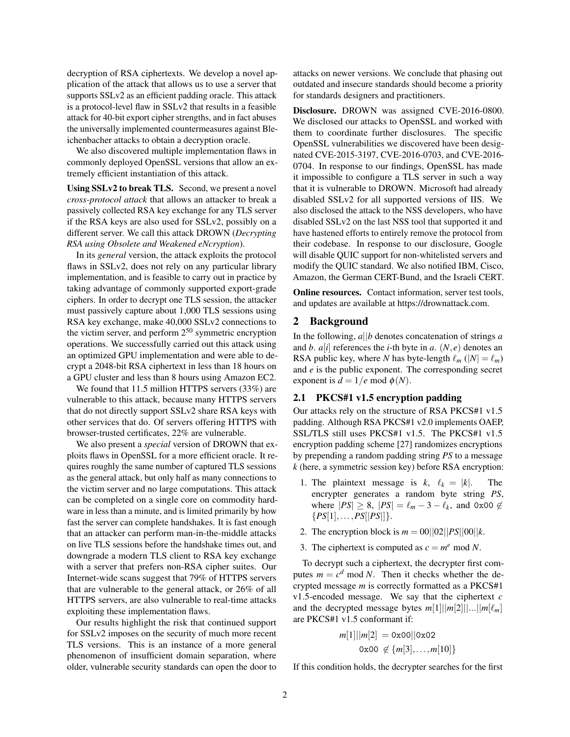decryption of RSA ciphertexts. We develop a novel application of the attack that allows us to use a server that supports SSLv2 as an efficient padding oracle. This attack is a protocol-level flaw in SSLv2 that results in a feasible attack for 40-bit export cipher strengths, and in fact abuses the universally implemented countermeasures against Bleichenbacher attacks to obtain a decryption oracle.

We also discovered multiple implementation flaws in commonly deployed OpenSSL versions that allow an extremely efficient instantiation of this attack.

Using SSLv2 to break TLS. Second, we present a novel *cross-protocol attack* that allows an attacker to break a passively collected RSA key exchange for any TLS server if the RSA keys are also used for SSLv2, possibly on a different server. We call this attack DROWN (*Decrypting RSA using Obsolete and Weakened eNcryption*).

In its *general* version, the attack exploits the protocol flaws in SSLv2, does not rely on any particular library implementation, and is feasible to carry out in practice by taking advantage of commonly supported export-grade ciphers. In order to decrypt one TLS session, the attacker must passively capture about 1,000 TLS sessions using RSA key exchange, make 40,000 SSLv2 connections to the victim server, and perform  $2^{50}$  symmetric encryption operations. We successfully carried out this attack using an optimized GPU implementation and were able to decrypt a 2048-bit RSA ciphertext in less than 18 hours on a GPU cluster and less than 8 hours using Amazon EC2.

We found that 11.5 million HTTPS servers (33%) are vulnerable to this attack, because many HTTPS servers that do not directly support SSLv2 share RSA keys with other services that do. Of servers offering HTTPS with browser-trusted certificates, 22% are vulnerable.

We also present a *special* version of DROWN that exploits flaws in OpenSSL for a more efficient oracle. It requires roughly the same number of captured TLS sessions as the general attack, but only half as many connections to the victim server and no large computations. This attack can be completed on a single core on commodity hardware in less than a minute, and is limited primarily by how fast the server can complete handshakes. It is fast enough that an attacker can perform man-in-the-middle attacks on live TLS sessions before the handshake times out, and downgrade a modern TLS client to RSA key exchange with a server that prefers non-RSA cipher suites. Our Internet-wide scans suggest that 79% of HTTPS servers that are vulnerable to the general attack, or 26% of all HTTPS servers, are also vulnerable to real-time attacks exploiting these implementation flaws.

Our results highlight the risk that continued support for SSLv2 imposes on the security of much more recent TLS versions. This is an instance of a more general phenomenon of insufficient domain separation, where older, vulnerable security standards can open the door to attacks on newer versions. We conclude that phasing out outdated and insecure standards should become a priority for standards designers and practitioners.

Disclosure. DROWN was assigned CVE-2016-0800. We disclosed our attacks to OpenSSL and worked with them to coordinate further disclosures. The specific OpenSSL vulnerabilities we discovered have been designated CVE-2015-3197, CVE-2016-0703, and CVE-2016- 0704. In response to our findings, OpenSSL has made it impossible to configure a TLS server in such a way that it is vulnerable to DROWN. Microsoft had already disabled SSLv2 for all supported versions of IIS. We also disclosed the attack to the NSS developers, who have disabled SSLv2 on the last NSS tool that supported it and have hastened efforts to entirely remove the protocol from their codebase. In response to our disclosure, Google will disable QUIC support for non-whitelisted servers and modify the QUIC standard. We also notified IBM, Cisco, Amazon, the German CERT-Bund, and the Israeli CERT.

Online resources. Contact information, server test tools, and updates are available at https://drownattack.com.

# 2 Background

In the following, *a*||*b* denotes concatenation of strings *a* and *b*.  $a[i]$  references the *i*-th byte in *a*.  $(N, e)$  denotes an RSA public key, where *N* has byte-length  $\ell_m$  ( $|N| = \ell_m$ ) and *e* is the public exponent. The corresponding secret exponent is  $d = 1/e$  mod  $\phi(N)$ .

## 2.1 PKCS#1 v1.5 encryption padding

Our attacks rely on the structure of RSA PKCS#1 v1.5 padding. Although RSA PKCS#1 v2.0 implements OAEP, SSL/TLS still uses PKCS#1 v1.5. The PKCS#1 v1.5 encryption padding scheme [\[27\]](#page-14-10) randomizes encryptions by prepending a random padding string *PS* to a message *k* (here, a symmetric session key) before RSA encryption:

- 1. The plaintext message is  $k$ ,  $\ell_k = |k|$ . The encrypter generates a random byte string *PS*, where  $|PS| \ge 8$ ,  $|PS| = \ell_m - 3 - \ell_k$ , and 0x00  $\notin$  ${PS[1], \ldots, PS[|PS|]}$ .
- 2. The encryption block is  $m = 00||02||PS||00||k$ .
- 3. The ciphertext is computed as  $c = m^e \text{ mod } N$ .

To decrypt such a ciphertext, the decrypter first computes  $m = c^d \mod N$ . Then it checks whether the decrypted message *m* is correctly formatted as a PKCS#1 v1.5-encoded message. We say that the ciphertext *c* and the decrypted message bytes  $m[1] \mid |m[2]| \dots \mid |m[\ell_m]$ are PKCS#1 v1.5 conformant if:

$$
m[1]||m[2] = 0 \times 00||0 \times 02
$$
  
0x00  $\notin \{m[3],...,m[10]\}$ 

If this condition holds, the decrypter searches for the first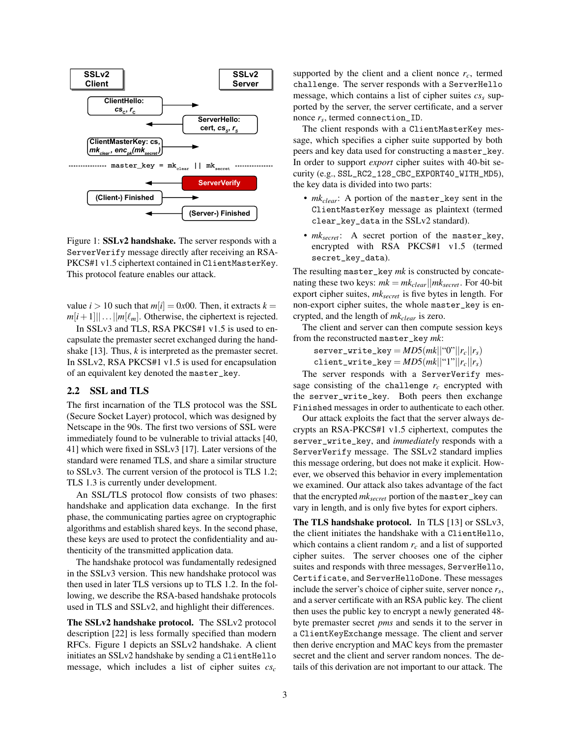

<span id="page-2-0"></span>Figure 1: SSLv2 handshake. The server responds with a ServerVerify message directly after receiving an RSA-PKCS#1 v1.5 ciphertext contained in ClientMasterKey. This protocol feature enables our attack.

value  $i > 10$  such that  $m[i] = 0x00$ . Then, it extracts  $k =$  $m[i+1]$ ||...|| $m[\ell_m]$ . Otherwise, the ciphertext is rejected.

In SSLv3 and TLS, RSA PKCS#1 v1.5 is used to encapsulate the premaster secret exchanged during the hand-shake [\[13\]](#page-14-0). Thus, *k* is interpreted as the premaster secret. In SSLv2, RSA PKCS#1 v1.5 is used for encapsulation of an equivalent key denoted the master\_key.

## 2.2 SSL and TLS

The first incarnation of the TLS protocol was the SSL (Secure Socket Layer) protocol, which was designed by Netscape in the 90s. The first two versions of SSL were immediately found to be vulnerable to trivial attacks [\[40,](#page-15-2) [41\]](#page-15-1) which were fixed in SSLv3 [\[17\]](#page-14-11). Later versions of the standard were renamed TLS, and share a similar structure to SSLv3. The current version of the protocol is TLS 1.2; TLS 1.3 is currently under development.

An SSL/TLS protocol flow consists of two phases: handshake and application data exchange. In the first phase, the communicating parties agree on cryptographic algorithms and establish shared keys. In the second phase, these keys are used to protect the confidentiality and authenticity of the transmitted application data.

The handshake protocol was fundamentally redesigned in the SSLv3 version. This new handshake protocol was then used in later TLS versions up to TLS 1.2. In the following, we describe the RSA-based handshake protocols used in TLS and SSLv2, and highlight their differences.

The SSLv2 handshake protocol. The SSLv2 protocol description [\[22\]](#page-14-12) is less formally specified than modern RFCs. Figure [1](#page-2-0) depicts an SSLv2 handshake. A client initiates an SSLv2 handshake by sending a ClientHello message, which includes a list of cipher suites *cs<sup>c</sup>* supported by the client and a client nonce  $r_c$ , termed challenge. The server responds with a ServerHello message, which contains a list of cipher suites *cs<sup>s</sup>* supported by the server, the server certificate, and a server nonce *r<sup>s</sup>* , termed connection\_ID.

The client responds with a ClientMasterKey message, which specifies a cipher suite supported by both peers and key data used for constructing a master\_key. In order to support *export* cipher suites with 40-bit security (e.g., SSL\_RC2\_128\_CBC\_EXPORT40\_WITH\_MD5), the key data is divided into two parts:

- *mkclear*: A portion of the master\_key sent in the ClientMasterKey message as plaintext (termed clear\_key\_data in the SSLv2 standard).
- *mksecret*: A secret portion of the master\_key, encrypted with RSA PKCS#1 v1.5 (termed secret\_key\_data).

The resulting master\_key *mk* is constructed by concatenating these two keys:  $mk = mk_{clear}||mk_{secret}$ . For 40-bit export cipher suites, *mksecret* is five bytes in length. For non-export cipher suites, the whole master\_key is encrypted, and the length of *mkclear* is zero.

The client and server can then compute session keys from the reconstructed master\_key *mk*:

 $s$ erver\_write\_key =  $MD5(mk||``0"||r_c||r_s)$ client\_write\_key =  $MD5(mk||``1"||r_c||r_s)$ 

The server responds with a ServerVerify message consisting of the challenge  $r_c$  encrypted with the server\_write\_key. Both peers then exchange Finished messages in order to authenticate to each other.

Our attack exploits the fact that the server always decrypts an RSA-PKCS#1 v1.5 ciphertext, computes the server\_write\_key, and *immediately* responds with a ServerVerify message. The SSLv2 standard implies this message ordering, but does not make it explicit. However, we observed this behavior in every implementation we examined. Our attack also takes advantage of the fact that the encrypted *mksecret* portion of the master\_key can vary in length, and is only five bytes for export ciphers.

The TLS handshake protocol. In TLS [\[13\]](#page-14-0) or SSLv3, the client initiates the handshake with a ClientHello, which contains a client random *r<sup>c</sup>* and a list of supported cipher suites. The server chooses one of the cipher suites and responds with three messages, ServerHello, Certificate, and ServerHelloDone. These messages include the server's choice of cipher suite, server nonce *r<sup>s</sup>* , and a server certificate with an RSA public key. The client then uses the public key to encrypt a newly generated 48 byte premaster secret *pms* and sends it to the server in a ClientKeyExchange message. The client and server then derive encryption and MAC keys from the premaster secret and the client and server random nonces. The details of this derivation are not important to our attack. The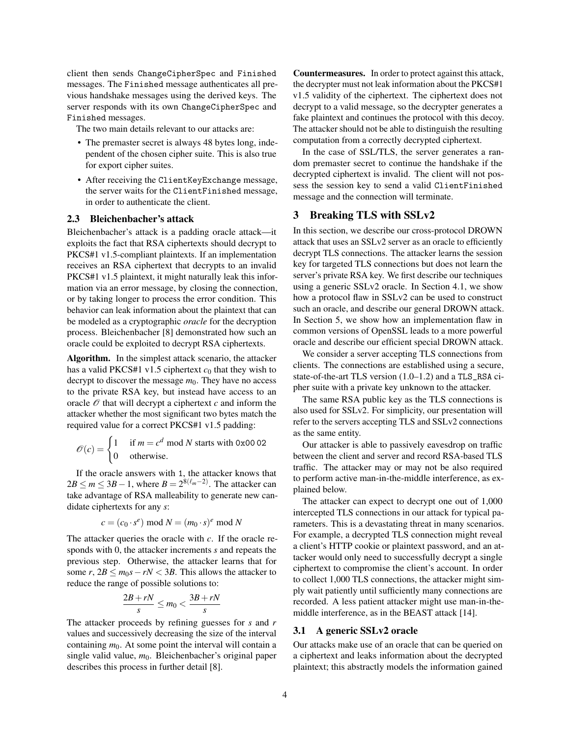client then sends ChangeCipherSpec and Finished messages. The Finished message authenticates all previous handshake messages using the derived keys. The server responds with its own ChangeCipherSpec and Finished messages.

The two main details relevant to our attacks are:

- The premaster secret is always 48 bytes long, independent of the chosen cipher suite. This is also true for export cipher suites.
- After receiving the ClientKeyExchange message, the server waits for the ClientFinished message, in order to authenticate the client.

## <span id="page-3-0"></span>2.3 Bleichenbacher's attack

Bleichenbacher's attack is a padding oracle attack—it exploits the fact that RSA ciphertexts should decrypt to PKCS#1 v1.5-compliant plaintexts. If an implementation receives an RSA ciphertext that decrypts to an invalid PKCS#1 v1.5 plaintext, it might naturally leak this information via an error message, by closing the connection, or by taking longer to process the error condition. This behavior can leak information about the plaintext that can be modeled as a cryptographic *oracle* for the decryption process. Bleichenbacher [\[8\]](#page-14-9) demonstrated how such an oracle could be exploited to decrypt RSA ciphertexts.

Algorithm. In the simplest attack scenario, the attacker has a valid PKCS#1 v1.5 ciphertext  $c_0$  that they wish to decrypt to discover the message  $m_0$ . They have no access to the private RSA key, but instead have access to an oracle  $\mathcal O$  that will decrypt a ciphertext  $c$  and inform the attacker whether the most significant two bytes match the required value for a correct PKCS#1 v1.5 padding:

$$
\mathcal{O}(c) = \begin{cases} 1 & \text{if } m = c^d \text{ mod } N \text{ starts with } 0 \times 0002 \\ 0 & \text{otherwise.} \end{cases}
$$

If the oracle answers with 1, the attacker knows that  $2B \le m \le 3B - 1$ , where  $B = 2^{8(\ell_m - 2)}$ . The attacker can take advantage of RSA malleability to generate new candidate ciphertexts for any *s*:

$$
c=(c_0\cdot s^e)\bmod N=(m_0\cdot s)^e\bmod N
$$

The attacker queries the oracle with *c*. If the oracle responds with 0, the attacker increments *s* and repeats the previous step. Otherwise, the attacker learns that for some *r*,  $2B \le m_0 s - rN < 3B$ . This allows the attacker to reduce the range of possible solutions to:

$$
\frac{2B + rN}{s} \le m_0 < \frac{3B + rN}{s}
$$

The attacker proceeds by refining guesses for *s* and *r* values and successively decreasing the size of the interval containing  $m<sub>0</sub>$ . At some point the interval will contain a single valid value,  $m_0$ . Bleichenbacher's original paper describes this process in further detail [\[8\]](#page-14-9).

Countermeasures. In order to protect against this attack, the decrypter must not leak information about the PKCS#1 v1.5 validity of the ciphertext. The ciphertext does not decrypt to a valid message, so the decrypter generates a fake plaintext and continues the protocol with this decoy. The attacker should not be able to distinguish the resulting computation from a correctly decrypted ciphertext.

In the case of SSL/TLS, the server generates a random premaster secret to continue the handshake if the decrypted ciphertext is invalid. The client will not possess the session key to send a valid ClientFinished message and the connection will terminate.

# <span id="page-3-1"></span>3 Breaking TLS with SSLv2

In this section, we describe our cross-protocol DROWN attack that uses an SSLv2 server as an oracle to efficiently decrypt TLS connections. The attacker learns the session key for targeted TLS connections but does not learn the server's private RSA key. We first describe our techniques using a generic SSLv2 oracle. In Section [4.1,](#page-5-0) we show how a protocol flaw in SSLv2 can be used to construct such an oracle, and describe our general DROWN attack. In Section [5,](#page-7-0) we show how an implementation flaw in common versions of OpenSSL leads to a more powerful oracle and describe our efficient special DROWN attack.

We consider a server accepting TLS connections from clients. The connections are established using a secure, state-of-the-art TLS version (1.0–1.2) and a TLS\_RSA cipher suite with a private key unknown to the attacker.

The same RSA public key as the TLS connections is also used for SSLv2. For simplicity, our presentation will refer to the servers accepting TLS and SSLv2 connections as the same entity.

Our attacker is able to passively eavesdrop on traffic between the client and server and record RSA-based TLS traffic. The attacker may or may not be also required to perform active man-in-the-middle interference, as explained below.

The attacker can expect to decrypt one out of 1,000 intercepted TLS connections in our attack for typical parameters. This is a devastating threat in many scenarios. For example, a decrypted TLS connection might reveal a client's HTTP cookie or plaintext password, and an attacker would only need to successfully decrypt a single ciphertext to compromise the client's account. In order to collect 1,000 TLS connections, the attacker might simply wait patiently until sufficiently many connections are recorded. A less patient attacker might use man-in-themiddle interference, as in the BEAST attack [\[14\]](#page-14-6).

#### 3.1 A generic SSLv2 oracle

Our attacks make use of an oracle that can be queried on a ciphertext and leaks information about the decrypted plaintext; this abstractly models the information gained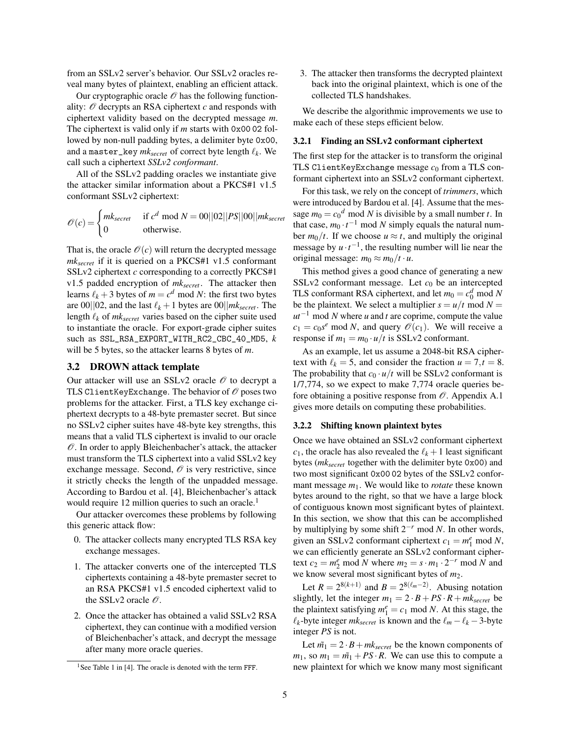from an SSLv2 server's behavior. Our SSLv2 oracles reveal many bytes of plaintext, enabling an efficient attack.

Our cryptographic oracle  $\mathcal O$  has the following functionality:  $\mathcal O$  decrypts an RSA ciphertext  $c$  and responds with ciphertext validity based on the decrypted message *m*. The ciphertext is valid only if *m* starts with 0x00 02 followed by non-null padding bytes, a delimiter byte 0x00, and a master\_key  $mk_{secret}$  of correct byte length  $\ell_k$ . We call such a ciphertext *SSLv2 conformant*.

All of the SSLv2 padding oracles we instantiate give the attacker similar information about a PKCS#1 v1.5 conformant SSLv2 ciphertext:

$$
\mathscr{O}(c) = \begin{cases} mk_{secret} & \text{if } c^d \text{ mod } N = 00||02||PS||00||mk_{secret} \\ 0 & \text{otherwise.} \end{cases}
$$

That is, the oracle  $\mathcal{O}(c)$  will return the decrypted message *mksecret* if it is queried on a PKCS#1 v1.5 conformant SSLv2 ciphertext *c* corresponding to a correctly PKCS#1 v1.5 padded encryption of *mksecret*. The attacker then learns  $\ell_k$  + 3 bytes of  $m = c^d \mod N$ : the first two bytes are 00 $||02$ , and the last  $\ell_k + 1$  bytes are 00 $||mk_{secret}$ . The length  $\ell_k$  of  $mk_{secret}$  varies based on the cipher suite used to instantiate the oracle. For export-grade cipher suites such as SSL\_RSA\_EXPORT\_WITH\_RC2\_CBC\_40\_MD5, *k* will be 5 bytes, so the attacker learns 8 bytes of *m*.

## <span id="page-4-1"></span>3.2 DROWN attack template

Our attacker will use an SSLv2 oracle  $\mathcal O$  to decrypt a TLS ClientKeyExchange. The behavior of  $\mathcal O$  poses two problems for the attacker. First, a TLS key exchange ciphertext decrypts to a 48-byte premaster secret. But since no SSLv2 cipher suites have 48-byte key strengths, this means that a valid TLS ciphertext is invalid to our oracle  $\mathcal O$ . In order to apply Bleichenbacher's attack, the attacker must transform the TLS ciphertext into a valid SSLv2 key exchange message. Second,  $\mathcal O$  is very restrictive, since it strictly checks the length of the unpadded message. According to Bardou et al. [\[4\]](#page-14-13), Bleichenbacher's attack would require [1](#page-4-0)2 million queries to such an oracle.<sup>1</sup>

Our attacker overcomes these problems by following this generic attack flow:

- 0. The attacker collects many encrypted TLS RSA key exchange messages.
- 1. The attacker converts one of the intercepted TLS ciphertexts containing a 48-byte premaster secret to an RSA PKCS#1 v1.5 encoded ciphertext valid to the SSLv2 oracle  $\mathcal O$ .
- 2. Once the attacker has obtained a valid SSLv2 RSA ciphertext, they can continue with a modified version of Bleichenbacher's attack, and decrypt the message after many more oracle queries.

3. The attacker then transforms the decrypted plaintext back into the original plaintext, which is one of the collected TLS handshakes.

We describe the algorithmic improvements we use to make each of these steps efficient below.

#### <span id="page-4-2"></span>3.2.1 Finding an SSLv2 conformant ciphertext

The first step for the attacker is to transform the original TLS ClientKeyExchange message  $c_0$  from a TLS conformant ciphertext into an SSLv2 conformant ciphertext.

For this task, we rely on the concept of *trimmers*, which were introduced by Bardou et al. [\[4\]](#page-14-13). Assume that the message  $m_0 = c_0^d \text{ mod } N$  is divisible by a small number *t*. In that case,  $m_0 \cdot t^{-1}$  mod *N* simply equals the natural number  $m_0/t$ . If we choose  $u \approx t$ , and multiply the original message by  $u \cdot t^{-1}$ , the resulting number will lie near the original message:  $m_0 \approx m_0/t \cdot u$ .

This method gives a good chance of generating a new SSLv2 conformant message. Let  $c_0$  be an intercepted TLS conformant RSA ciphertext, and let  $m_0 = c_0^d \text{ mod } N$ be the plaintext. We select a multiplier  $s = u/t$  mod  $N =$ *ut*<sup>−1</sup> mod *N* where *u* and *t* are coprime, compute the value  $c_1 = c_0 s^e \mod N$ , and query  $\mathcal{O}(c_1)$ . We will receive a response if  $m_1 = m_0 \cdot u/t$  is SSLv2 conformant.

As an example, let us assume a 2048-bit RSA ciphertext with  $\ell_k = 5$ , and consider the fraction  $u = 7, t = 8$ . The probability that  $c_0 \cdot u/t$  will be SSLv2 conformant is 1/7,774, so we expect to make 7,774 oracle queries before obtaining a positive response from  $\mathcal O$ . Appendix [A.1](#page-15-3) gives more details on computing these probabilities.

#### <span id="page-4-3"></span>3.2.2 Shifting known plaintext bytes

Once we have obtained an SSLv2 conformant ciphertext  $c_1$ , the oracle has also revealed the  $\ell_k + 1$  least significant bytes (*mksecret* together with the delimiter byte 0x00) and two most significant 0x00 02 bytes of the SSLv2 conformant message *m*1. We would like to *rotate* these known bytes around to the right, so that we have a large block of contiguous known most significant bytes of plaintext. In this section, we show that this can be accomplished by multiplying by some shift  $2^{-r}$  mod *N*. In other words, given an SSLv2 conformant ciphertext  $c_1 = m_1^e \text{ mod } N$ , we can efficiently generate an SSLv2 conformant ciphertext  $c_2 = m_2^e \text{ mod } N$  where  $m_2 = s \cdot m_1 \cdot 2^{-r} \text{ mod } N$  and we know several most significant bytes of  $m_2$ .

Let  $R = 2^{8(k+1)}$  and  $B = 2^{8(\ell_m - 2)}$ . Abusing notation slightly, let the integer  $m_1 = 2 \cdot B + PS \cdot R + mk_{secret}$  be the plaintext satisfying  $m_1^e = c_1$  mod *N*. At this stage, the  $\ell_k$ -byte integer *mk*<sub>secret</sub> is known and the  $\ell_m - \ell_k - 3$ -byte integer *PS* is not.

Let  $\tilde{m_1} = 2 \cdot B + mk_{secret}$  be the known components of  $m_1$ , so  $m_1 = m_1 + PS \cdot R$ . We can use this to compute a new plaintext for which we know many most significant

<span id="page-4-0"></span><sup>&</sup>lt;sup>1</sup>See Table 1 in [\[4\]](#page-14-13). The oracle is denoted with the term FFF.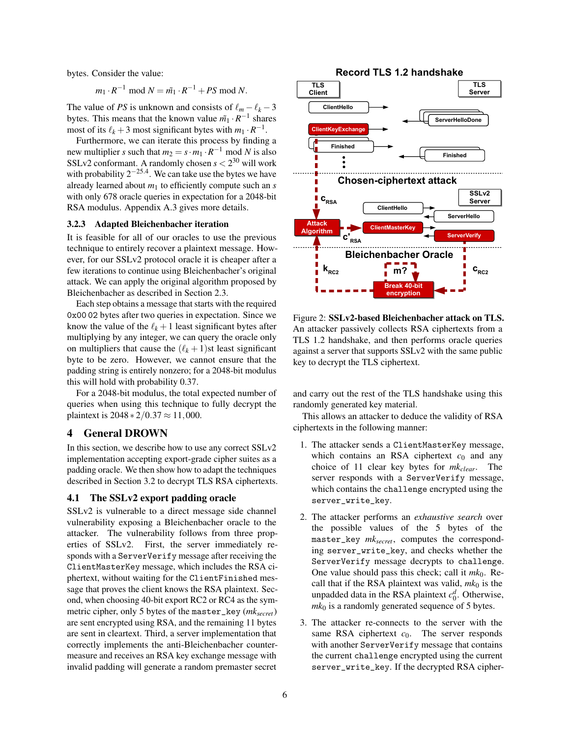bytes. Consider the value:

$$
m_1 \cdot R^{-1} \bmod N = m_1 \cdot R^{-1} + PS \bmod N.
$$

The value of *PS* is unknown and consists of  $\ell_m - \ell_k - 3$ bytes. This means that the known value  $\tilde{m_1} \cdot R^{-1}$  shares most of its  $\ell_k + 3$  most significant bytes with  $m_1 \cdot R^{-1}$ .

Furthermore, we can iterate this process by finding a new multiplier *s* such that  $m_2 = s \cdot m_1 \cdot R^{-1}$  mod *N* is also SSLv2 conformant. A randomly chosen  $s < 2^{30}$  will work with probability  $2^{-25.4}$ . We can take use the bytes we have already learned about  $m_1$  to efficiently compute such an  $s$ with only 678 oracle queries in expectation for a 2048-bit RSA modulus. Appendix [A.3](#page-15-4) gives more details.

#### <span id="page-5-1"></span>3.2.3 Adapted Bleichenbacher iteration

It is feasible for all of our oracles to use the previous technique to entirely recover a plaintext message. However, for our SSLv2 protocol oracle it is cheaper after a few iterations to continue using Bleichenbacher's original attack. We can apply the original algorithm proposed by Bleichenbacher as described in Section [2.3.](#page-3-0)

Each step obtains a message that starts with the required 0x00 02 bytes after two queries in expectation. Since we know the value of the  $\ell_k + 1$  least significant bytes after multiplying by any integer, we can query the oracle only on multipliers that cause the  $(\ell_k + 1)$ st least significant byte to be zero. However, we cannot ensure that the padding string is entirely nonzero; for a 2048-bit modulus this will hold with probability 0.37.

For a 2048-bit modulus, the total expected number of queries when using this technique to fully decrypt the plaintext is  $2048 * 2/0.37 \approx 11,000$ .

### 4 General DROWN

In this section, we describe how to use any correct SSLv2 implementation accepting export-grade cipher suites as a padding oracle. We then show how to adapt the techniques described in Section [3.2](#page-4-1) to decrypt TLS RSA ciphertexts.

#### <span id="page-5-0"></span>4.1 The SSLv2 export padding oracle

SSLv2 is vulnerable to a direct message side channel vulnerability exposing a Bleichenbacher oracle to the attacker. The vulnerability follows from three properties of SSLv2. First, the server immediately responds with a ServerVerify message after receiving the ClientMasterKey message, which includes the RSA ciphertext, without waiting for the ClientFinished message that proves the client knows the RSA plaintext. Second, when choosing 40-bit export RC2 or RC4 as the symmetric cipher, only 5 bytes of the master\_key (*mksecret*) are sent encrypted using RSA, and the remaining 11 bytes are sent in cleartext. Third, a server implementation that correctly implements the anti-Bleichenbacher countermeasure and receives an RSA key exchange message with invalid padding will generate a random premaster secret



Figure 2: SSLv2-based Bleichenbacher attack on TLS. An attacker passively collects RSA ciphertexts from a TLS 1.2 handshake, and then performs oracle queries against a server that supports SSLv2 with the same public key to decrypt the TLS ciphertext.

and carry out the rest of the TLS handshake using this randomly generated key material.

This allows an attacker to deduce the validity of RSA ciphertexts in the following manner:

- 1. The attacker sends a ClientMasterKey message, which contains an RSA ciphertext  $c_0$  and any choice of 11 clear key bytes for *mkclear*. The server responds with a ServerVerify message, which contains the challenge encrypted using the server\_write\_key.
- 2. The attacker performs an *exhaustive search* over the possible values of the 5 bytes of the master\_key *mksecret*, computes the corresponding server\_write\_key, and checks whether the ServerVerify message decrypts to challenge. One value should pass this check; call it  $mk<sub>0</sub>$ . Recall that if the RSA plaintext was valid,  $mk<sub>0</sub>$  is the unpadded data in the RSA plaintext  $c_0^d$ . Otherwise,  $mk<sub>0</sub>$  is a randomly generated sequence of 5 bytes.
- 3. The attacker re-connects to the server with the same RSA ciphertext  $c_0$ . The server responds with another ServerVerify message that contains the current challenge encrypted using the current server\_write\_key. If the decrypted RSA cipher-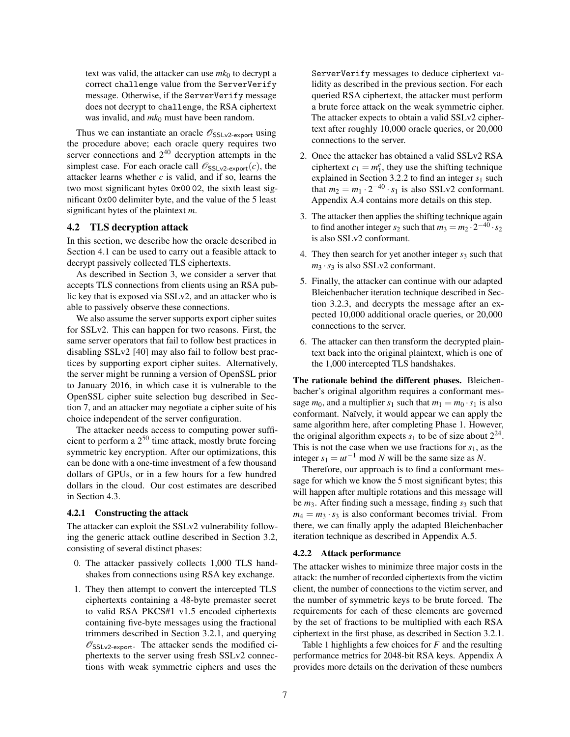text was valid, the attacker can use  $mk<sub>0</sub>$  to decrypt a correct challenge value from the ServerVerify message. Otherwise, if the ServerVerify message does not decrypt to challenge, the RSA ciphertext was invalid, and  $mk_0$  must have been random.

Thus we can instantiate an oracle  $\mathscr{O}_{\mathsf{SSLv2-export}}$  using the procedure above; each oracle query requires two server connections and  $2^{40}$  decryption attempts in the simplest case. For each oracle call  $\mathscr{O}_{\text{SSLv2-export}}(c)$ , the attacker learns whether *c* is valid, and if so, learns the two most significant bytes 0x00 02, the sixth least significant 0x00 delimiter byte, and the value of the 5 least significant bytes of the plaintext *m*.

#### <span id="page-6-0"></span>4.2 TLS decryption attack

In this section, we describe how the oracle described in Section [4.1](#page-5-0) can be used to carry out a feasible attack to decrypt passively collected TLS ciphertexts.

As described in Section [3,](#page-3-1) we consider a server that accepts TLS connections from clients using an RSA public key that is exposed via SSLv2, and an attacker who is able to passively observe these connections.

We also assume the server supports export cipher suites for SSLv2. This can happen for two reasons. First, the same server operators that fail to follow best practices in disabling SSLv2 [\[40\]](#page-15-2) may also fail to follow best practices by supporting export cipher suites. Alternatively, the server might be running a version of OpenSSL prior to January 2016, in which case it is vulnerable to the OpenSSL cipher suite selection bug described in Section [7,](#page-12-0) and an attacker may negotiate a cipher suite of his choice independent of the server configuration.

The attacker needs access to computing power sufficient to perform a  $2^{50}$  time attack, mostly brute forcing symmetric key encryption. After our optimizations, this can be done with a one-time investment of a few thousand dollars of GPUs, or in a few hours for a few hundred dollars in the cloud. Our cost estimates are described in Section [4.3.](#page-7-1)

#### 4.2.1 Constructing the attack

The attacker can exploit the SSLv2 vulnerability following the generic attack outline described in Section [3.2,](#page-4-1) consisting of several distinct phases:

- 0. The attacker passively collects 1,000 TLS handshakes from connections using RSA key exchange.
- 1. They then attempt to convert the intercepted TLS ciphertexts containing a 48-byte premaster secret to valid RSA PKCS#1 v1.5 encoded ciphertexts containing five-byte messages using the fractional trimmers described in Section [3.2.1,](#page-4-2) and querying  $\mathscr{O}_{\text{SSLv2-export}}$ . The attacker sends the modified ciphertexts to the server using fresh SSLv2 connections with weak symmetric ciphers and uses the

ServerVerify messages to deduce ciphertext validity as described in the previous section. For each queried RSA ciphertext, the attacker must perform a brute force attack on the weak symmetric cipher. The attacker expects to obtain a valid SSLv2 ciphertext after roughly 10,000 oracle queries, or 20,000 connections to the server.

- 2. Once the attacker has obtained a valid SSLv2 RSA ciphertext  $c_1 = m_1^e$ , they use the shifting technique explained in Section [3.2.2](#page-4-3) to find an integer  $s_1$  such that  $m_2 = m_1 \cdot 2^{-40} \cdot s_1$  is also SSLv2 conformant. Appendix [A.4](#page-16-0) contains more details on this step.
- 3. The attacker then applies the shifting technique again to find another integer  $s_2$  such that  $m_3 = m_2 \cdot 2^{-40} \cdot s_2$ is also SSLv2 conformant.
- 4. They then search for yet another integer  $s_3$  such that  $m_3 \cdot s_3$  is also SSLv2 conformant.
- 5. Finally, the attacker can continue with our adapted Bleichenbacher iteration technique described in Section [3.2.3,](#page-5-1) and decrypts the message after an expected 10,000 additional oracle queries, or 20,000 connections to the server.
- 6. The attacker can then transform the decrypted plaintext back into the original plaintext, which is one of the 1,000 intercepted TLS handshakes.

The rationale behind the different phases. Bleichenbacher's original algorithm requires a conformant message  $m_0$ , and a multiplier  $s_1$  such that  $m_1 = m_0 \cdot s_1$  is also conformant. Naïvely, it would appear we can apply the same algorithm here, after completing Phase 1. However, the original algorithm expects  $s_1$  to be of size about  $2^{24}$ . This is not the case when we use fractions for *s*1, as the integer  $s_1 = ut^{-1}$  mod *N* will be the same size as *N*.

Therefore, our approach is to find a conformant message for which we know the 5 most significant bytes; this will happen after multiple rotations and this message will be  $m_3$ . After finding such a message, finding  $s_3$  such that  $m_4 = m_3 \cdot s_3$  is also conformant becomes trivial. From there, we can finally apply the adapted Bleichenbacher iteration technique as described in Appendix [A.5.](#page-16-1)

#### 4.2.2 Attack performance

The attacker wishes to minimize three major costs in the attack: the number of recorded ciphertexts from the victim client, the number of connections to the victim server, and the number of symmetric keys to be brute forced. The requirements for each of these elements are governed by the set of fractions to be multiplied with each RSA ciphertext in the first phase, as described in Section [3.2.1.](#page-4-2)

Table [1](#page-7-2) highlights a few choices for *F* and the resulting performance metrics for 2048-bit RSA keys. Appendix [A](#page-15-5) provides more details on the derivation of these numbers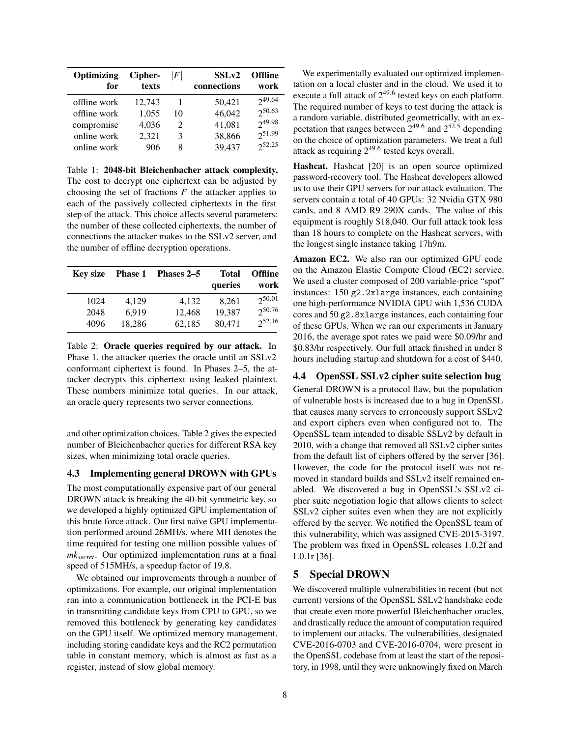| Optimizing                                 | Cipher-                  | $\left F\right $                  | SSL <sub>v2</sub>          | <b>Offline</b>                  |
|--------------------------------------------|--------------------------|-----------------------------------|----------------------------|---------------------------------|
| for                                        | texts                    |                                   | connections                | work                            |
| offline work<br>offline work<br>compromise | 12,743<br>1,055<br>4,036 | 10<br>$\mathcal{D}_{\mathcal{A}}$ | 50,421<br>46,042<br>41,081 | 249.64<br>250.63<br>$2^{49.98}$ |
| online work                                | 2,321                    | 3                                 | 38,866                     | 251.99                          |
| online work                                | 906                      | 8                                 | 39,437                     | $2^{52.25}$                     |

<span id="page-7-2"></span>Table 1: 2048-bit Bleichenbacher attack complexity. The cost to decrypt one ciphertext can be adjusted by choosing the set of fractions  $F$  the attacker applies to each of the passively collected ciphertexts in the first step of the attack. This choice affects several parameters: the number of these collected ciphertexts, the number of connections the attacker makes to the SSLv2 server, and the number of offline decryption operations.

| <b>Key size</b> | <b>Phase 1</b> | Phases 2–5 | Total<br>queries | <b>Offline</b><br>work |
|-----------------|----------------|------------|------------------|------------------------|
| 1024            | 4,129          | 4.132      | 8,261            | 250.01                 |
| 2048            | 6.919          | 12,468     | 19,387           | 250.76                 |
| 4096            | 18,286         | 62,185     | 80,471           | 252.16                 |

<span id="page-7-3"></span>Table 2: Oracle queries required by our attack. In Phase 1, the attacker queries the oracle until an SSLv2 conformant ciphertext is found. In Phases 2–5, the attacker decrypts this ciphertext using leaked plaintext. These numbers minimize total queries. In our attack, an oracle query represents two server connections.

and other optimization choices. Table [2](#page-7-3) gives the expected number of Bleichenbacher queries for different RSA key sizes, when minimizing total oracle queries.

### <span id="page-7-1"></span>4.3 Implementing general DROWN with GPUs

The most computationally expensive part of our general DROWN attack is breaking the 40-bit symmetric key, so we developed a highly optimized GPU implementation of this brute force attack. Our first naïve GPU implementation performed around 26MH/s, where MH denotes the time required for testing one million possible values of *mksecret*. Our optimized implementation runs at a final speed of 515MH/s, a speedup factor of 19.8.

We obtained our improvements through a number of optimizations. For example, our original implementation ran into a communication bottleneck in the PCI-E bus in transmitting candidate keys from CPU to GPU, so we removed this bottleneck by generating key candidates on the GPU itself. We optimized memory management, including storing candidate keys and the RC2 permutation table in constant memory, which is almost as fast as a register, instead of slow global memory.

We experimentally evaluated our optimized implementation on a local cluster and in the cloud. We used it to execute a full attack of  $2^{49.6}$  tested keys on each platform. The required number of keys to test during the attack is a random variable, distributed geometrically, with an expectation that ranges between  $2^{49.6}$  and  $2^{52.5}$  depending on the choice of optimization parameters. We treat a full attack as requiring  $2^{49.6}$  tested keys overall.

Hashcat. Hashcat [\[20\]](#page-14-14) is an open source optimized password-recovery tool. The Hashcat developers allowed us to use their GPU servers for our attack evaluation. The servers contain a total of 40 GPUs: 32 Nvidia GTX 980 cards, and 8 AMD R9 290X cards. The value of this equipment is roughly \$18,040. Our full attack took less than 18 hours to complete on the Hashcat servers, with the longest single instance taking 17h9m.

Amazon EC2. We also ran our optimized GPU code on the Amazon Elastic Compute Cloud (EC2) service. We used a cluster composed of 200 variable-price "spot" instances: 150 g2.2xlarge instances, each containing one high-performance NVIDIA GPU with 1,536 CUDA cores and 50 g2.8xlarge instances, each containing four of these GPUs. When we ran our experiments in January 2016, the average spot rates we paid were \$0.09/hr and \$0.83/hr respectively. Our full attack finished in under 8 hours including startup and shutdown for a cost of \$440.

# 4.4 OpenSSL SSLv2 cipher suite selection bug General DROWN is a protocol flaw, but the population

of vulnerable hosts is increased due to a bug in OpenSSL that causes many servers to erroneously support SSLv2 and export ciphers even when configured not to. The OpenSSL team intended to disable SSLv2 by default in 2010, with a change that removed all SSLv2 cipher suites from the default list of ciphers offered by the server [\[36\]](#page-15-6). However, the code for the protocol itself was not removed in standard builds and SSLv2 itself remained enabled. We discovered a bug in OpenSSL's SSLv2 cipher suite negotiation logic that allows clients to select SSLv2 cipher suites even when they are not explicitly offered by the server. We notified the OpenSSL team of this vulnerability, which was assigned CVE-2015-3197. The problem was fixed in OpenSSL releases 1.0.2f and 1.0.1r [\[36\]](#page-15-6).

# <span id="page-7-0"></span>5 Special DROWN

We discovered multiple vulnerabilities in recent (but not current) versions of the OpenSSL SSLv2 handshake code that create even more powerful Bleichenbacher oracles, and drastically reduce the amount of computation required to implement our attacks. The vulnerabilities, designated CVE-2016-0703 and CVE-2016-0704, were present in the OpenSSL codebase from at least the start of the repository, in 1998, until they were unknowingly fixed on March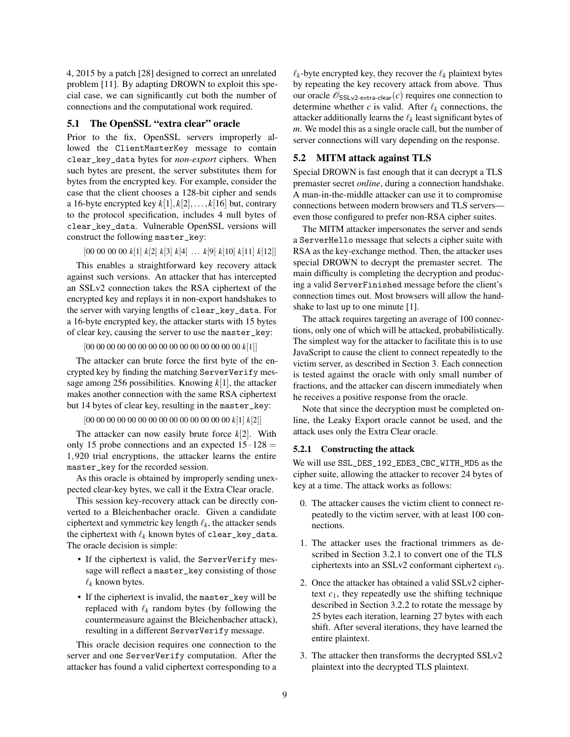4, 2015 by a patch [\[28\]](#page-14-15) designed to correct an unrelated problem [\[11\]](#page-14-16). By adapting DROWN to exploit this special case, we can significantly cut both the number of connections and the computational work required.

## 5.1 The OpenSSL "extra clear" oracle

Prior to the fix, OpenSSL servers improperly allowed the ClientMasterKey message to contain clear\_key\_data bytes for *non-export* ciphers. When such bytes are present, the server substitutes them for bytes from the encrypted key. For example, consider the case that the client chooses a 128-bit cipher and sends a 16-byte encrypted key  $k[1], k[2], \ldots, k[16]$  but, contrary to the protocol specification, includes 4 null bytes of clear\_key\_data. Vulnerable OpenSSL versions will construct the following master\_key:

[00 00 00 00 *k*[1] *k*[2] *k*[3] *k*[4] ... *k*[9] *k*[10] *k*[11] *k*[12]]

This enables a straightforward key recovery attack against such versions. An attacker that has intercepted an SSLv2 connection takes the RSA ciphertext of the encrypted key and replays it in non-export handshakes to the server with varying lengths of clear\_key\_data. For a 16-byte encrypted key, the attacker starts with 15 bytes of clear key, causing the server to use the master\_key:

[00 00 00 00 00 00 00 00 00 00 00 00 00 00 00 *k*[1]]

The attacker can brute force the first byte of the encrypted key by finding the matching ServerVerify message among 256 possibilities. Knowing *k*[1], the attacker makes another connection with the same RSA ciphertext but 14 bytes of clear key, resulting in the master\_key:

```
[00 00 00 00 00 00 00 00 00 00 00 00 00 00 k[1] k[2]]
```
The attacker can now easily brute force *k*[2]. With only 15 probe connections and an expected  $15 \cdot 128$  = 1,920 trial encryptions, the attacker learns the entire master\_key for the recorded session.

As this oracle is obtained by improperly sending unexpected clear-key bytes, we call it the Extra Clear oracle.

This session key-recovery attack can be directly converted to a Bleichenbacher oracle. Given a candidate ciphertext and symmetric key length  $\ell_k$ , the attacker sends the ciphertext with  $\ell_k$  known bytes of clear\_key\_data. The oracle decision is simple:

- If the ciphertext is valid, the ServerVerify message will reflect a master\_key consisting of those  $\ell_k$  known bytes.
- If the ciphertext is invalid, the master\_key will be replaced with  $\ell_k$  random bytes (by following the countermeasure against the Bleichenbacher attack), resulting in a different ServerVerify message.

This oracle decision requires one connection to the server and one ServerVerify computation. After the attacker has found a valid ciphertext corresponding to a  $\ell_k$ -byte encrypted key, they recover the  $\ell_k$  plaintext bytes by repeating the key recovery attack from above. Thus our oracle  $\mathscr{O}_{\text{SSLv2-extra-clear}}(c)$  requires one connection to determine whether *c* is valid. After  $\ell_k$  connections, the attacker additionally learns the  $\ell_k$  least significant bytes of *m*. We model this as a single oracle call, but the number of server connections will vary depending on the response.

## <span id="page-8-0"></span>5.2 MITM attack against TLS

Special DROWN is fast enough that it can decrypt a TLS premaster secret *online*, during a connection handshake. A man-in-the-middle attacker can use it to compromise connections between modern browsers and TLS servers even those configured to prefer non-RSA cipher suites.

The MITM attacker impersonates the server and sends a ServerHello message that selects a cipher suite with RSA as the key-exchange method. Then, the attacker uses special DROWN to decrypt the premaster secret. The main difficulty is completing the decryption and producing a valid ServerFinished message before the client's connection times out. Most browsers will allow the handshake to last up to one minute [\[1\]](#page-14-4).

The attack requires targeting an average of 100 connections, only one of which will be attacked, probabilistically. The simplest way for the attacker to facilitate this is to use JavaScript to cause the client to connect repeatedly to the victim server, as described in Section [3.](#page-3-1) Each connection is tested against the oracle with only small number of fractions, and the attacker can discern immediately when he receives a positive response from the oracle.

Note that since the decryption must be completed online, the Leaky Export oracle cannot be used, and the attack uses only the Extra Clear oracle.

#### 5.2.1 Constructing the attack

We will use SSL\_DES\_192\_EDE3\_CBC\_WITH\_MD5 as the cipher suite, allowing the attacker to recover 24 bytes of key at a time. The attack works as follows:

- 0. The attacker causes the victim client to connect repeatedly to the victim server, with at least 100 connections.
- 1. The attacker uses the fractional trimmers as described in Section [3.2.1](#page-4-2) to convert one of the TLS ciphertexts into an SSLv2 conformant ciphertext  $c_0$ .
- 2. Once the attacker has obtained a valid SSLv2 ciphertext  $c_1$ , they repeatedly use the shifting technique described in Section [3.2.2](#page-4-3) to rotate the message by 25 bytes each iteration, learning 27 bytes with each shift. After several iterations, they have learned the entire plaintext.
- 3. The attacker then transforms the decrypted SSLv2 plaintext into the decrypted TLS plaintext.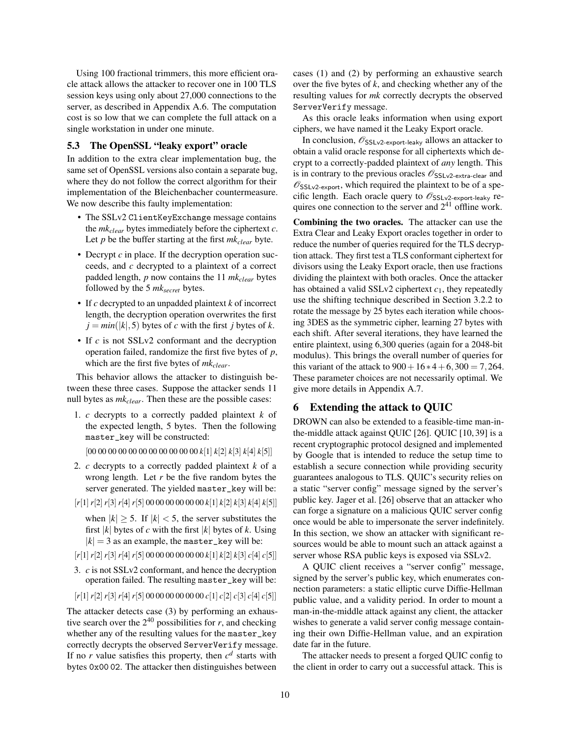Using 100 fractional trimmers, this more efficient oracle attack allows the attacker to recover one in 100 TLS session keys using only about 27,000 connections to the server, as described in Appendix [A.6.](#page-17-0) The computation cost is so low that we can complete the full attack on a single workstation in under one minute.

### 5.3 The OpenSSL "leaky export" oracle

In addition to the extra clear implementation bug, the same set of OpenSSL versions also contain a separate bug, where they do not follow the correct algorithm for their implementation of the Bleichenbacher countermeasure. We now describe this faulty implementation:

- The SSLv2 ClientKeyExchange message contains the *mkclear* bytes immediately before the ciphertext *c*. Let *p* be the buffer starting at the first *mkclear* byte.
- Decrypt *c* in place. If the decryption operation succeeds, and *c* decrypted to a plaintext of a correct padded length, *p* now contains the 11 *mkclear* bytes followed by the 5 *mksecret* bytes.
- If *c* decrypted to an unpadded plaintext *k* of incorrect length, the decryption operation overwrites the first  $j = min(|k|, 5)$  bytes of *c* with the first *j* bytes of *k*.
- If *c* is not SSLv2 conformant and the decryption operation failed, randomize the first five bytes of *p*, which are the first five bytes of *mkclear*.

This behavior allows the attacker to distinguish between these three cases. Suppose the attacker sends 11 null bytes as *mkclear*. Then these are the possible cases:

- 1. *c* decrypts to a correctly padded plaintext *k* of the expected length, 5 bytes. Then the following master\_key will be constructed:
	- [00 00 00 00 00 00 00 00 00 00 00 *k*[1] *k*[2] *k*[3] *k*[4] *k*[5]]
- 2. *c* decrypts to a correctly padded plaintext *k* of a wrong length. Let *r* be the five random bytes the server generated. The yielded master\_key will be:
- [*r*[1]*r*[2]*r*[3]*r*[4]*r*[5] 00 00 00 00 00 00 *k*[1] *k*[2] *k*[3] *k*[4] *k*[5]]

when  $|k| \geq 5$ . If  $|k| < 5$ , the server substitutes the first |*k*| bytes of *c* with the first |*k*| bytes of *k*. Using  $|k| = 3$  as an example, the master\_key will be:

- [*r*[1]*r*[2]*r*[3]*r*[4]*r*[5] 00 00 00 00 00 00 *k*[1] *k*[2] *k*[3] *c*[4] *c*[5]]
- <span id="page-9-0"></span>3. *c* is not SSLv2 conformant, and hence the decryption operation failed. The resulting master\_key will be:
- [*r*[1]*r*[2]*r*[3]*r*[4]*r*[5] 00 00 00 00 00 00 *c*[1] *c*[2] *c*[3] *c*[4] *c*[5]]

The attacker detects case (3) by performing an exhaustive search over the  $2^{40}$  possibilities for *r*, and checking whether any of the resulting values for the master\_key correctly decrypts the observed ServerVerify message. If no  $r$  value satisfies this property, then  $c^d$  starts with bytes 0x00 02. The attacker then distinguishes between

cases (1) and (2) by performing an exhaustive search over the five bytes of *k*, and checking whether any of the resulting values for *mk* correctly decrypts the observed ServerVerify message.

As this oracle leaks information when using export ciphers, we have named it the Leaky Export oracle.

In conclusion,  $\mathscr{O}_{\sf SSLv2-export-leaky}$  allows an attacker to obtain a valid oracle response for all ciphertexts which decrypt to a correctly-padded plaintext of *any* length. This is in contrary to the previous oracles  $\mathscr{O}_{\sf SSLV2-extra-clear}$  and  $\mathscr{O}_{\text{SSLv2-export}}$ , which required the plaintext to be of a specific length. Each oracle query to  $\mathscr{O}_{\mathsf{SSLv2-export-leaky}}$  requires one connection to the server and  $2^{41}$  offline work.

Combining the two oracles. The attacker can use the Extra Clear and Leaky Export oracles together in order to reduce the number of queries required for the TLS decryption attack. They first test a TLS conformant ciphertext for divisors using the Leaky Export oracle, then use fractions dividing the plaintext with both oracles. Once the attacker has obtained a valid SSLv2 ciphertext *c*1, they repeatedly use the shifting technique described in Section [3.2.2](#page-4-3) to rotate the message by 25 bytes each iteration while choosing 3DES as the symmetric cipher, learning 27 bytes with each shift. After several iterations, they have learned the entire plaintext, using 6,300 queries (again for a 2048-bit modulus). This brings the overall number of queries for this variant of the attack to  $900 + 16 * 4 + 6,300 = 7,264$ . These parameter choices are not necessarily optimal. We give more details in Appendix [A.7.](#page-17-1)

# 6 Extending the attack to QUIC

DROWN can also be extended to a feasible-time man-inthe-middle attack against QUIC [\[26\]](#page-14-17). QUIC [\[10,](#page-14-18) [39\]](#page-15-7) is a recent cryptographic protocol designed and implemented by Google that is intended to reduce the setup time to establish a secure connection while providing security guarantees analogous to TLS. QUIC's security relies on a static "server config" message signed by the server's public key. Jager et al. [\[26\]](#page-14-17) observe that an attacker who can forge a signature on a malicious QUIC server config once would be able to impersonate the server indefinitely. In this section, we show an attacker with significant resources would be able to mount such an attack against a server whose RSA public keys is exposed via SSLv2.

A QUIC client receives a "server config" message, signed by the server's public key, which enumerates connection parameters: a static elliptic curve Diffie-Hellman public value, and a validity period. In order to mount a man-in-the-middle attack against any client, the attacker wishes to generate a valid server config message containing their own Diffie-Hellman value, and an expiration date far in the future.

The attacker needs to present a forged QUIC config to the client in order to carry out a successful attack. This is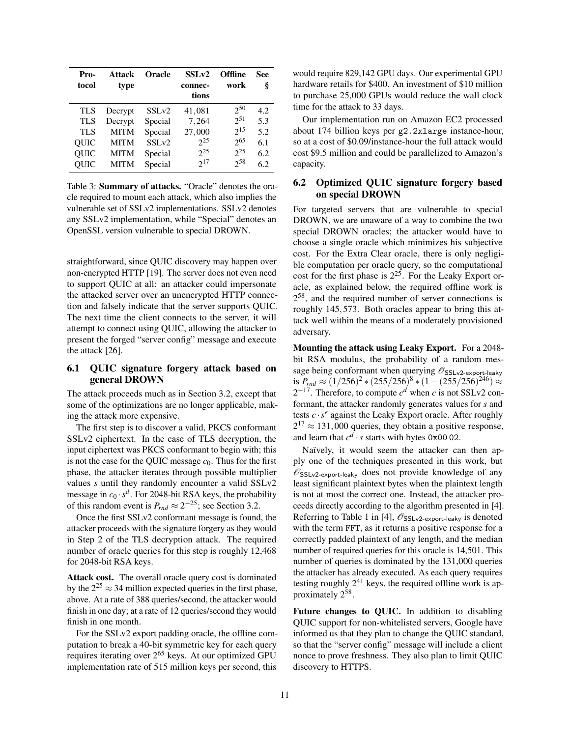| Pro-<br>tocol | Attack<br>type | <b>Oracle</b>     | SSLv2<br>connec-<br>tions | <b>Offline</b><br>work | See<br>ş |
|---------------|----------------|-------------------|---------------------------|------------------------|----------|
| TLS           | Decrypt        | SSL <sub>v2</sub> | 41,081                    | $2^{50}$               | 4.2      |
| TLS           | Decrypt        | Special           | 7,264                     | $2^{51}$               | 5.3      |
| TLS           | <b>MITM</b>    | Special           | 27,000                    | $2^{15}$               | 5.2      |
| <b>OUIC</b>   | <b>MITM</b>    | SSLv2             | $2^{25}$                  | $2^{65}$               | 6.1      |
| QUIC          | <b>MITM</b>    | Special           | $2^{25}$                  | $2^{25}$               | 6.2      |
| QUIC          | <b>MITM</b>    | Special           | $2^{17}$                  | $2^{58}$               | 6.2      |

Table 3: Summary of attacks. "Oracle" denotes the oracle required to mount each attack, which also implies the vulnerable set of SSLv2 implementations. SSLv2 denotes any SSLv2 implementation, while "Special" denotes an OpenSSL version vulnerable to special DROWN.

straightforward, since QUIC discovery may happen over non-encrypted HTTP [\[19\]](#page-14-19). The server does not even need to support QUIC at all: an attacker could impersonate the attacked server over an unencrypted HTTP connection and falsely indicate that the server supports QUIC. The next time the client connects to the server, it will attempt to connect using QUIC, allowing the attacker to present the forged "server config" message and execute the attack [\[26\]](#page-14-17).

## <span id="page-10-0"></span>6.1 QUIC signature forgery attack based on general DROWN

The attack proceeds much as in Section [3.2,](#page-4-1) except that some of the optimizations are no longer applicable, making the attack more expensive.

The first step is to discover a valid, PKCS conformant SSLv2 ciphertext. In the case of TLS decryption, the input ciphertext was PKCS conformant to begin with; this is not the case for the QUIC message  $c_0$ . Thus for the first phase, the attacker iterates through possible multiplier values *s* until they randomly encounter a valid SSLv2 message in  $c_0 \cdot s^d$ . For 2048-bit RSA keys, the probability of this random event is  $P_{rnd} \approx 2^{-25}$ ; see Section [3.2.](#page-4-1)

Once the first SSLv2 conformant message is found, the attacker proceeds with the signature forgery as they would in Step 2 of the TLS decryption attack. The required number of oracle queries for this step is roughly 12,468 for 2048-bit RSA keys.

Attack cost. The overall oracle query cost is dominated by the  $2^{25} \approx 34$  million expected queries in the first phase, above. At a rate of 388 queries/second, the attacker would finish in one day; at a rate of 12 queries/second they would finish in one month.

For the SSLv2 export padding oracle, the offline computation to break a 40-bit symmetric key for each query requires iterating over 2<sup>65</sup> keys. At our optimized GPU implementation rate of 515 million keys per second, this

would require 829,142 GPU days. Our experimental GPU hardware retails for \$400. An investment of \$10 million to purchase 25,000 GPUs would reduce the wall clock time for the attack to 33 days.

Our implementation run on Amazon EC2 processed about 174 billion keys per g2.2xlarge instance-hour, so at a cost of \$0.09/instance-hour the full attack would cost \$9.5 million and could be parallelized to Amazon's capacity.

## <span id="page-10-1"></span>6.2 Optimized QUIC signature forgery based on special DROWN

For targeted servers that are vulnerable to special DROWN, we are unaware of a way to combine the two special DROWN oracles; the attacker would have to choose a single oracle which minimizes his subjective cost. For the Extra Clear oracle, there is only negligible computation per oracle query, so the computational cost for the first phase is  $2^{25}$ . For the Leaky Export oracle, as explained below, the required offline work is 2<sup>58</sup>, and the required number of server connections is roughly 145,573. Both oracles appear to bring this attack well within the means of a moderately provisioned adversary.

Mounting the attack using Leaky Export. For a 2048 bit RSA modulus, the probability of a random message being conformant when querying  $\mathscr{O}_{\mathsf{SSLv2-export-leaky}}$ is  $P_{rnd} \approx (1/256)^2 * (255/256)^8 * (1 - (255/256)^{246}) \approx$  $2^{-17}$ . Therefore, to compute  $c^d$  when *c* is not SSLv2 conformant, the attacker randomly generates values for *s* and tests  $c \cdot s^e$  against the Leaky Export oracle. After roughly  $2^{17} \approx 131,000$  queries, they obtain a positive response, and learn that  $c^d \cdot s$  starts with bytes 0x00 02.

Naïvely, it would seem the attacker can then apply one of the techniques presented in this work, but  $\mathscr{O}_{\text{SSLv2-export-leaky}}$  does not provide knowledge of any least significant plaintext bytes when the plaintext length is not at most the correct one. Instead, the attacker proceeds directly according to the algorithm presented in [\[4\]](#page-14-13). Referring to Table 1 in [\[4\]](#page-14-13),  $\mathscr{O}_{\sf SSLv2\text{-}export\text{-}leaky}$  is denoted with the term FFT, as it returns a positive response for a correctly padded plaintext of any length, and the median number of required queries for this oracle is 14,501. This number of queries is dominated by the 131,000 queries the attacker has already executed. As each query requires testing roughly  $2^{41}$  keys, the required offline work is approximately  $2^{58}$ .

Future changes to QUIC. In addition to disabling QUIC support for non-whitelisted servers, Google have informed us that they plan to change the QUIC standard, so that the "server config" message will include a client nonce to prove freshness. They also plan to limit QUIC discovery to HTTPS.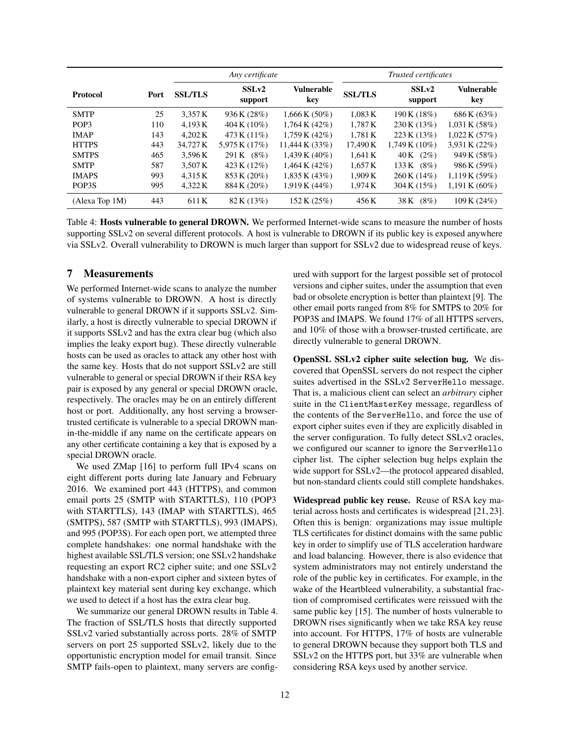|                  |      | Any certificate |                              |                          | Trusted certificates |                  |                           |
|------------------|------|-----------------|------------------------------|--------------------------|----------------------|------------------|---------------------------|
| <b>Protocol</b>  | Port | <b>SSL/TLS</b>  | SSL <sub>v2</sub><br>support | <b>Vulnerable</b><br>key | <b>SSL/TLS</b>       | SSLv2<br>support | Vulnerable<br>key         |
| <b>SMTP</b>      | 25   | 3.357 K         | 936 K (28%)                  | $1,666$ K $(50\%)$       | 1,083K               | 190 K (18%)      | 686 K (63%)               |
| POP <sub>3</sub> | 110  | 4.193 K         | 404 K $(10\%)$               | $1,764 \text{ K} (42\%)$ | 1,787K               | 230 K (13%)      | 1,031K(58%)               |
| <b>IMAP</b>      | 143  | 4.202 K         | 473 K (11%)                  | 1,759K(42%)              | 1.781K               | 223 K (13%)      | $1,022 \text{ K } (57\%)$ |
| <b>HTTPS</b>     | 443  | 34,727 K        | 5,975 K (17%)                | 11,444 K $(33%)$         | 17,490 K             | 1,749 K (10%)    | 3,931 K (22%)             |
| <b>SMTPS</b>     | 465  | 3.596K          | 291 K (8%)                   | $1.439 K (40\%)$         | 1.641K               | $40K$ $(2\%)$    | 949 K (58%)               |
| <b>SMTP</b>      | 587  | 3.507 K         | 423 K (12%)                  | $1,464 \text{ K} (42\%)$ | 1,657K               | 133 K (8%)       | 986 K (59%)               |
| <b>IMAPS</b>     | 993  | 4.315 K         | 853 K (20%)                  | $1,835 \text{ K} (43\%)$ | 1,909K               | 260 K (14%)      | 1,119K(59%)               |
| POP3S            | 995  | 4,322 K         | 884 K (20%)                  | 1,919K(44%)              | 1,974K               | 304 K (15%)      | $1,191K(60\%)$            |
| (Alexa Top 1M)   | 443  | 611K            | 82 K (13%)                   | 152 K (25%)              | 456 K                | $(8\%)$<br>38 K  | 109K(24%)                 |

<span id="page-11-0"></span>Table 4: Hosts vulnerable to general DROWN. We performed Internet-wide scans to measure the number of hosts supporting SSLv2 on several different protocols. A host is vulnerable to DROWN if its public key is exposed anywhere via SSLv2. Overall vulnerability to DROWN is much larger than support for SSLv2 due to widespread reuse of keys.

## 7 Measurements

We performed Internet-wide scans to analyze the number of systems vulnerable to DROWN. A host is directly vulnerable to general DROWN if it supports SSLv2. Similarly, a host is directly vulnerable to special DROWN if it supports SSLv2 and has the extra clear bug (which also implies the leaky export bug). These directly vulnerable hosts can be used as oracles to attack any other host with the same key. Hosts that do not support SSLv2 are still vulnerable to general or special DROWN if their RSA key pair is exposed by any general or special DROWN oracle, respectively. The oracles may be on an entirely different host or port. Additionally, any host serving a browsertrusted certificate is vulnerable to a special DROWN manin-the-middle if any name on the certificate appears on any other certificate containing a key that is exposed by a special DROWN oracle.

We used ZMap [\[16\]](#page-14-20) to perform full IPv4 scans on eight different ports during late January and February 2016. We examined port 443 (HTTPS), and common email ports 25 (SMTP with STARTTLS), 110 (POP3 with STARTTLS), 143 (IMAP with STARTTLS), 465 (SMTPS), 587 (SMTP with STARTTLS), 993 (IMAPS), and 995 (POP3S). For each open port, we attempted three complete handshakes: one normal handshake with the highest available SSL/TLS version; one SSLv2 handshake requesting an export RC2 cipher suite; and one SSLv2 handshake with a non-export cipher and sixteen bytes of plaintext key material sent during key exchange, which we used to detect if a host has the extra clear bug.

We summarize our general DROWN results in Table [4.](#page-11-0) The fraction of SSL/TLS hosts that directly supported SSLv2 varied substantially across ports. 28% of SMTP servers on port 25 supported SSLv2, likely due to the opportunistic encryption model for email transit. Since SMTP fails-open to plaintext, many servers are configured with support for the largest possible set of protocol versions and cipher suites, under the assumption that even bad or obsolete encryption is better than plaintext [\[9\]](#page-14-21). The other email ports ranged from 8% for SMTPS to 20% for POP3S and IMAPS. We found 17% of all HTTPS servers, and 10% of those with a browser-trusted certificate, are directly vulnerable to general DROWN.

OpenSSL SSLv2 cipher suite selection bug. We discovered that OpenSSL servers do not respect the cipher suites advertised in the SSLv2 ServerHello message. That is, a malicious client can select an *arbitrary* cipher suite in the ClientMasterKey message, regardless of the contents of the ServerHello, and force the use of export cipher suites even if they are explicitly disabled in the server configuration. To fully detect SSLv2 oracles, we configured our scanner to ignore the ServerHello cipher list. The cipher selection bug helps explain the wide support for SSLv2—the protocol appeared disabled, but non-standard clients could still complete handshakes.

Widespread public key reuse. Reuse of RSA key material across hosts and certificates is widespread [\[21,](#page-14-22) [23\]](#page-14-23). Often this is benign: organizations may issue multiple TLS certificates for distinct domains with the same public key in order to simplify use of TLS acceleration hardware and load balancing. However, there is also evidence that system administrators may not entirely understand the role of the public key in certificates. For example, in the wake of the Heartbleed vulnerability, a substantial fraction of compromised certificates were reissued with the same public key [\[15\]](#page-14-24). The number of hosts vulnerable to DROWN rises significantly when we take RSA key reuse into account. For HTTPS, 17% of hosts are vulnerable to general DROWN because they support both TLS and SSLv2 on the HTTPS port, but 33% are vulnerable when considering RSA keys used by another service.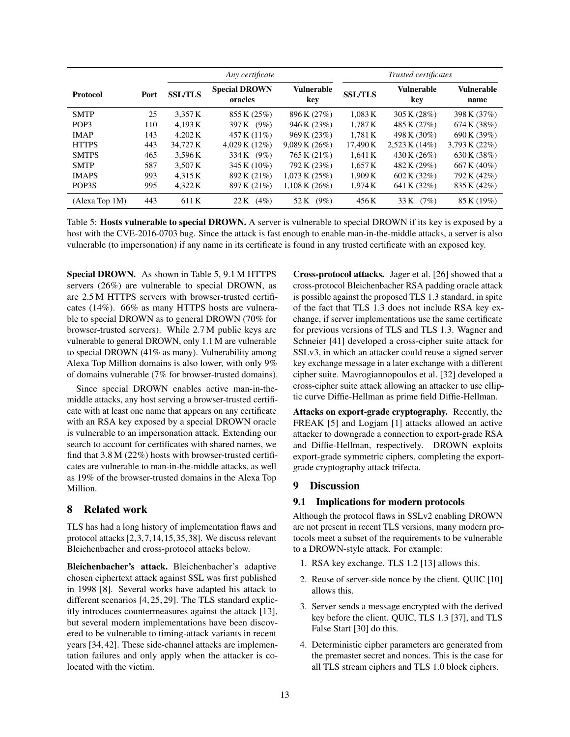|                  |      | Any certificate |                                 |                          | Trusted certificates |                          |                    |
|------------------|------|-----------------|---------------------------------|--------------------------|----------------------|--------------------------|--------------------|
| <b>Protocol</b>  | Port | <b>SSL/TLS</b>  | <b>Special DROWN</b><br>oracles | <b>Vulnerable</b><br>key | <b>SSL/TLS</b>       | <b>Vulnerable</b><br>key | Vulnerable<br>name |
| <b>SMTP</b>      | 25   | 3.357 K         | 855 K (25%)                     | 896 K (27%)              | 1.083 K              | 305 K $(28%)$            | 398 K (37%)        |
| POP <sub>3</sub> | 110  | 4.193 K         | 397 K (9%)                      | 946 K (23%)              | 1.787 K              | 485 K (27%)              | 674 K (38%)        |
| <b>IMAP</b>      | 143  | 4.202 K         | 457 K (11%)                     | 969 K (23%)              | 1,781K               | 498 K (30%)              | 690 K (39%)        |
| <b>HTTPS</b>     | 443  | 34.727 K        | 4,029K(12%)                     | 9,089K(26%)              | 17,490 K             | $2,523 K(14\%)$          | 3,793 K (22%)      |
| <b>SMTPS</b>     | 465  | 3.596 K         | 334 K (9%)                      | 765 K (21%)              | 1.641K               | 430 K (26%)              | 630 K (38%)        |
| <b>SMTP</b>      | 587  | 3.507 K         | 345 K (10%)                     | 792 K (23%)              | 1.657 K              | 482 K (29%)              | 667 K (40%)        |
| <b>IMAPS</b>     | 993  | 4.315 K         | 892 K (21%)                     | 1,073K(25%)              | 1.909K               | 602 K (32%)              | 792 K (42%)        |
| POP3S            | 995  | 4,322 K         | 897 K (21%)                     | 1,108K(26%)              | 1,974K               | 641 K (32%)              | 835 K (42%)        |
| (Alexa Top 1M)   | 443  | 611 K           | (4%)<br>22 K                    | 52 K<br>$(9\%)$          | 456 K                | 33 K<br>(7%)             | 85 K (19%)         |

<span id="page-12-0"></span>Table 5: Hosts vulnerable to special DROWN. A server is vulnerable to special DROWN if its key is exposed by a host with the CVE-2016-0703 bug. Since the attack is fast enough to enable man-in-the-middle attacks, a server is also vulnerable (to impersonation) if any name in its certificate is found in any trusted certificate with an exposed key.

Special DROWN. As shown in Table [5,](#page-12-0) 9.1 M HTTPS servers (26%) are vulnerable to special DROWN, as are 2.5 M HTTPS servers with browser-trusted certificates (14%). 66% as many HTTPS hosts are vulnerable to special DROWN as to general DROWN (70% for browser-trusted servers). While 2.7 M public keys are vulnerable to general DROWN, only 1.1 M are vulnerable to special DROWN (41% as many). Vulnerability among Alexa Top Million domains is also lower, with only 9% of domains vulnerable (7% for browser-trusted domains).

Since special DROWN enables active man-in-themiddle attacks, any host serving a browser-trusted certificate with at least one name that appears on any certificate with an RSA key exposed by a special DROWN oracle is vulnerable to an impersonation attack. Extending our search to account for certificates with shared names, we find that 3.8 M (22%) hosts with browser-trusted certificates are vulnerable to man-in-the-middle attacks, as well as 19% of the browser-trusted domains in the Alexa Top Million.

# 8 Related work

TLS has had a long history of implementation flaws and protocol attacks [\[2,](#page-14-5)[3,](#page-14-2)[7,](#page-14-25)[14,](#page-14-6)[15,](#page-14-24)[35,](#page-15-0)[38\]](#page-15-8). We discuss relevant Bleichenbacher and cross-protocol attacks below.

Bleichenbacher's attack. Bleichenbacher's adaptive chosen ciphertext attack against SSL was first published in 1998 [\[8\]](#page-14-9). Several works have adapted his attack to different scenarios [\[4,](#page-14-13) [25,](#page-14-26) [29\]](#page-14-27). The TLS standard explicitly introduces countermeasures against the attack [\[13\]](#page-14-0), but several modern implementations have been discovered to be vulnerable to timing-attack variants in recent years [\[34,](#page-14-28) [42\]](#page-15-9). These side-channel attacks are implementation failures and only apply when the attacker is colocated with the victim.

Cross-protocol attacks. Jager et al. [\[26\]](#page-14-17) showed that a cross-protocol Bleichenbacher RSA padding oracle attack is possible against the proposed TLS 1.3 standard, in spite of the fact that TLS 1.3 does not include RSA key exchange, if server implementations use the same certificate for previous versions of TLS and TLS 1.3. Wagner and Schneier [\[41\]](#page-15-1) developed a cross-cipher suite attack for SSLv3, in which an attacker could reuse a signed server key exchange message in a later exchange with a different cipher suite. Mavrogiannopoulos et al. [\[32\]](#page-14-29) developed a cross-cipher suite attack allowing an attacker to use elliptic curve Diffie-Hellman as prime field Diffie-Hellman.

Attacks on export-grade cryptography. Recently, the FREAK [\[5\]](#page-14-3) and Logjam [\[1\]](#page-14-4) attacks allowed an active attacker to downgrade a connection to export-grade RSA and Diffie-Hellman, respectively. DROWN exploits export-grade symmetric ciphers, completing the exportgrade cryptography attack trifecta.

# 9 Discussion

# 9.1 Implications for modern protocols

Although the protocol flaws in SSLv2 enabling DROWN are not present in recent TLS versions, many modern protocols meet a subset of the requirements to be vulnerable to a DROWN-style attack. For example:

- 1. RSA key exchange. TLS 1.2 [\[13\]](#page-14-0) allows this.
- 2. Reuse of server-side nonce by the client. QUIC [\[10\]](#page-14-18) allows this.
- 3. Server sends a message encrypted with the derived key before the client. QUIC, TLS 1.3 [\[37\]](#page-15-10), and TLS False Start [\[30\]](#page-14-30) do this.
- 4. Deterministic cipher parameters are generated from the premaster secret and nonces. This is the case for all TLS stream ciphers and TLS 1.0 block ciphers.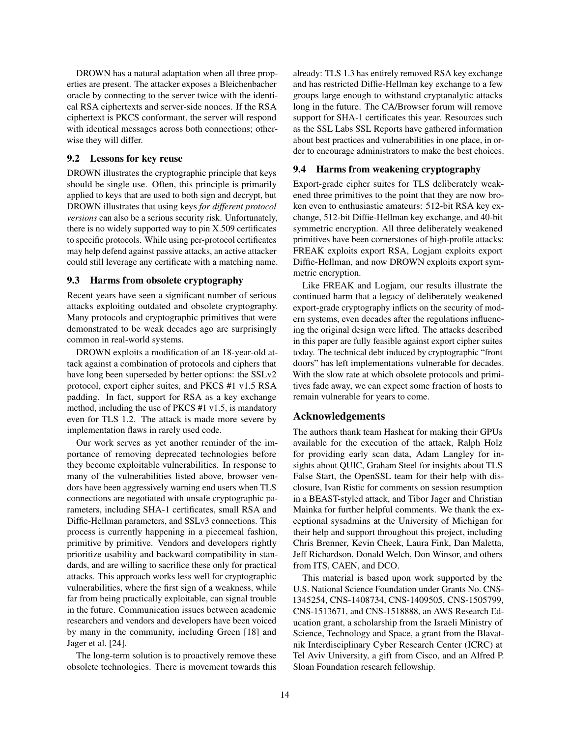DROWN has a natural adaptation when all three properties are present. The attacker exposes a Bleichenbacher oracle by connecting to the server twice with the identical RSA ciphertexts and server-side nonces. If the RSA ciphertext is PKCS conformant, the server will respond with identical messages across both connections; otherwise they will differ.

## 9.2 Lessons for key reuse

DROWN illustrates the cryptographic principle that keys should be single use. Often, this principle is primarily applied to keys that are used to both sign and decrypt, but DROWN illustrates that using keys *for different protocol versions* can also be a serious security risk. Unfortunately, there is no widely supported way to pin X.509 certificates to specific protocols. While using per-protocol certificates may help defend against passive attacks, an active attacker could still leverage any certificate with a matching name.

## 9.3 Harms from obsolete cryptography

Recent years have seen a significant number of serious attacks exploiting outdated and obsolete cryptography. Many protocols and cryptographic primitives that were demonstrated to be weak decades ago are surprisingly common in real-world systems.

DROWN exploits a modification of an 18-year-old attack against a combination of protocols and ciphers that have long been superseded by better options: the SSLv2 protocol, export cipher suites, and PKCS #1 v1.5 RSA padding. In fact, support for RSA as a key exchange method, including the use of PKCS #1 v1.5, is mandatory even for TLS 1.2. The attack is made more severe by implementation flaws in rarely used code.

Our work serves as yet another reminder of the importance of removing deprecated technologies before they become exploitable vulnerabilities. In response to many of the vulnerabilities listed above, browser vendors have been aggressively warning end users when TLS connections are negotiated with unsafe cryptographic parameters, including SHA-1 certificates, small RSA and Diffie-Hellman parameters, and SSLv3 connections. This process is currently happening in a piecemeal fashion, primitive by primitive. Vendors and developers rightly prioritize usability and backward compatibility in standards, and are willing to sacrifice these only for practical attacks. This approach works less well for cryptographic vulnerabilities, where the first sign of a weakness, while far from being practically exploitable, can signal trouble in the future. Communication issues between academic researchers and vendors and developers have been voiced by many in the community, including Green [\[18\]](#page-14-31) and Jager et al. [\[24\]](#page-14-32).

The long-term solution is to proactively remove these obsolete technologies. There is movement towards this already: TLS 1.3 has entirely removed RSA key exchange and has restricted Diffie-Hellman key exchange to a few groups large enough to withstand cryptanalytic attacks long in the future. The CA/Browser forum will remove support for SHA-1 certificates this year. Resources such as the SSL Labs SSL Reports have gathered information about best practices and vulnerabilities in one place, in order to encourage administrators to make the best choices.

#### 9.4 Harms from weakening cryptography

Export-grade cipher suites for TLS deliberately weakened three primitives to the point that they are now broken even to enthusiastic amateurs: 512-bit RSA key exchange, 512-bit Diffie-Hellman key exchange, and 40-bit symmetric encryption. All three deliberately weakened primitives have been cornerstones of high-profile attacks: FREAK exploits export RSA, Logjam exploits export Diffie-Hellman, and now DROWN exploits export symmetric encryption.

Like FREAK and Logjam, our results illustrate the continued harm that a legacy of deliberately weakened export-grade cryptography inflicts on the security of modern systems, even decades after the regulations influencing the original design were lifted. The attacks described in this paper are fully feasible against export cipher suites today. The technical debt induced by cryptographic "front doors" has left implementations vulnerable for decades. With the slow rate at which obsolete protocols and primitives fade away, we can expect some fraction of hosts to remain vulnerable for years to come.

# Acknowledgements

The authors thank team Hashcat for making their GPUs available for the execution of the attack, Ralph Holz for providing early scan data, Adam Langley for insights about QUIC, Graham Steel for insights about TLS False Start, the OpenSSL team for their help with disclosure, Ivan Ristic for comments on session resumption in a BEAST-styled attack, and Tibor Jager and Christian Mainka for further helpful comments. We thank the exceptional sysadmins at the University of Michigan for their help and support throughout this project, including Chris Brenner, Kevin Cheek, Laura Fink, Dan Maletta, Jeff Richardson, Donald Welch, Don Winsor, and others from ITS, CAEN, and DCO.

This material is based upon work supported by the U.S. National Science Foundation under Grants No. CNS-1345254, CNS-1408734, CNS-1409505, CNS-1505799, CNS-1513671, and CNS-1518888, an AWS Research Education grant, a scholarship from the Israeli Ministry of Science, Technology and Space, a grant from the Blavatnik Interdisciplinary Cyber Research Center (ICRC) at Tel Aviv University, a gift from Cisco, and an Alfred P. Sloan Foundation research fellowship.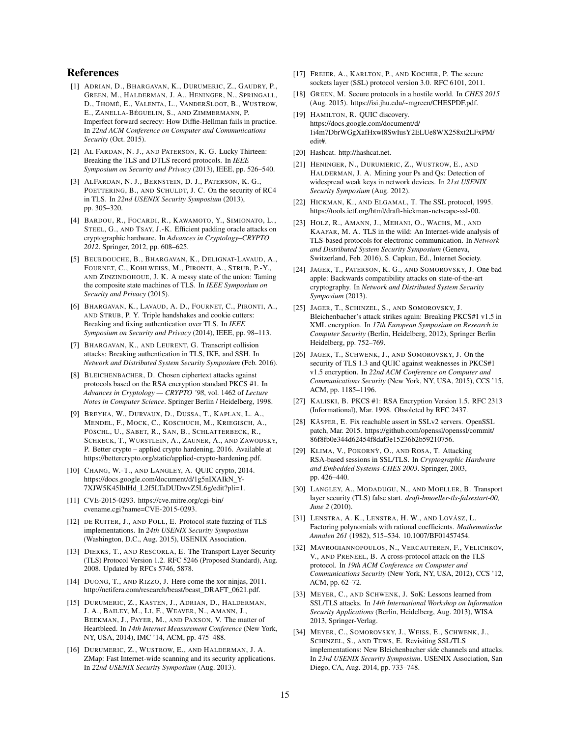### References

- <span id="page-14-4"></span>[1] ADRIAN, D., BHARGAVAN, K., DURUMERIC, Z., GAUDRY, P., GREEN, M., HALDERMAN, J. A., HENINGER, N., SPRINGALL, D., THOMÉ, E., VALENTA, L., VANDERSLOOT, B., WUSTROW, E., ZANELLA-BÉGUELIN, S., AND ZIMMERMANN, P. Imperfect forward secrecy: How Diffie-Hellman fails in practice. In *22nd ACM Conference on Computer and Communications Security* (Oct. 2015).
- <span id="page-14-5"></span>[2] AL FARDAN, N. J., AND PATERSON, K. G. Lucky Thirteen: Breaking the TLS and DTLS record protocols. In *IEEE Symposium on Security and Privacy* (2013), IEEE, pp. 526–540.
- <span id="page-14-2"></span>[3] ALFARDAN, N. J., BERNSTEIN, D. J., PATERSON, K. G., POETTERING, B., AND SCHULDT, J. C. On the security of RC4 in TLS. In *22nd USENIX Security Symposium* (2013), pp. 305–320.
- <span id="page-14-13"></span>[4] BARDOU, R., FOCARDI, R., KAWAMOTO, Y., SIMIONATO, L., STEEL, G., AND TSAY, J.-K. Efficient padding oracle attacks on cryptographic hardware. In *Advances in Cryptology–CRYPTO 2012*. Springer, 2012, pp. 608–625.
- <span id="page-14-3"></span>[5] BEURDOUCHE, B., BHARGAVAN, K., DELIGNAT-LAVAUD, A., FOURNET, C., KOHLWEISS, M., PIRONTI, A., STRUB, P.-Y., AND ZINZINDOHOUE, J. K. A messy state of the union: Taming the composite state machines of TLS. In *IEEE Symposium on Security and Privacy* (2015).
- <span id="page-14-7"></span>[6] BHARGAVAN, K., LAVAUD, A. D., FOURNET, C., PIRONTI, A., AND STRUB, P. Y. Triple handshakes and cookie cutters: Breaking and fixing authentication over TLS. In *IEEE Symposium on Security and Privacy* (2014), IEEE, pp. 98–113.
- <span id="page-14-25"></span>[7] BHARGAVAN, K., AND LEURENT, G. Transcript collision attacks: Breaking authentication in TLS, IKE, and SSH. In *Network and Distributed System Security Symposium* (Feb. 2016).
- <span id="page-14-9"></span>[8] BLEICHENBACHER, D. Chosen ciphertext attacks against protocols based on the RSA encryption standard PKCS #1. In *Advances in Cryptology — CRYPTO '98*, vol. 1462 of *Lecture Notes in Computer Science*. Springer Berlin / Heidelberg, 1998.
- <span id="page-14-21"></span>[9] BREYHA, W., DURVAUX, D., DUSSA, T., KAPLAN, L. A., MENDEL, F., MOCK, C., KOSCHUCH, M., KRIEGISCH, A., PÖSCHL, U., SABET, R., SAN, B., SCHLATTERBECK, R., SCHRECK, T., WÜRSTLEIN, A., ZAUNER, A., AND ZAWODSKY, P. Better crypto – applied crypto hardening, 2016. Available at [https://bettercrypto.org/static/applied-crypto-hardening.pdf.](https://bettercrypto.org/static/applied-crypto-hardening.pdf)
- <span id="page-14-18"></span>[10] CHANG, W.-T., AND LANGLEY, A. QUIC crypto, 2014. [https://docs.google.com/document/d/1g5nIXAIkN\\_Y-](https://docs.google.com/document/d/1g5nIXAIkN_Y-7XJW5K45IblHd_L2f5LTaDUDwvZ5L6g/edit?pli=1)[7XJW5K45IblHd\\_L2f5LTaDUDwvZ5L6g/edit?pli=1.](https://docs.google.com/document/d/1g5nIXAIkN_Y-7XJW5K45IblHd_L2f5LTaDUDwvZ5L6g/edit?pli=1)
- <span id="page-14-16"></span>[11] CVE-2015-0293. [https://cve.mitre.org/cgi-bin/](https://cve.mitre.org/cgi-bin/cvename.cgi?name=CVE-2015-0293) [cvename.cgi?name=CVE-2015-0293.](https://cve.mitre.org/cgi-bin/cvename.cgi?name=CVE-2015-0293)
- <span id="page-14-8"></span>[12] DE RUITER, J., AND POLL, E. Protocol state fuzzing of TLS implementations. In *24th USENIX Security Symposium* (Washington, D.C., Aug. 2015), USENIX Association.
- <span id="page-14-0"></span>[13] DIERKS, T., AND RESCORLA, E. The Transport Layer Security (TLS) Protocol Version 1.2. RFC 5246 (Proposed Standard), Aug. 2008. Updated by RFCs 5746, 5878.
- <span id="page-14-6"></span>[14] DUONG, T., AND RIZZO, J. Here come the xor ninjas, 2011. [http://netifera.com/research/beast/beast\\_DRAFT\\_0621.pdf.](http://netifera.com/research/beast/beast_DRAFT_0621.pdf)
- <span id="page-14-24"></span>[15] DURUMERIC, Z., KASTEN, J., ADRIAN, D., HALDERMAN, J. A., BAILEY, M., LI, F., WEAVER, N., AMANN, J., BEEKMAN, J., PAYER, M., AND PAXSON, V. The matter of Heartbleed. In *14th Internet Measurement Conference* (New York, NY, USA, 2014), IMC '14, ACM, pp. 475–488.
- <span id="page-14-20"></span>[16] DURUMERIC, Z., WUSTROW, E., AND HALDERMAN, J. A. ZMap: Fast Internet-wide scanning and its security applications. In *22nd USENIX Security Symposium* (Aug. 2013).
- <span id="page-14-11"></span>[17] FREIER, A., KARLTON, P., AND KOCHER, P. The secure sockets layer (SSL) protocol version 3.0. RFC 6101, 2011.
- <span id="page-14-31"></span>[18] GREEN, M. Secure protocols in a hostile world. In *CHES 2015* (Aug. 2015). [https://isi.jhu.edu/~mgreen/CHESPDF.pdf.](https://isi.jhu.edu/~mgreen/CHESPDF.pdf)
- <span id="page-14-19"></span>[19] HAMILTON, R. QUIC discovery. [https://docs.google.com/document/d/](https://docs.google.com/document/d/1i4m7DbrWGgXafHxwl8SwIusY2ELUe8WX258xt2LFxPM/edit#) [1i4m7DbrWGgXafHxwl8SwIusY2ELUe8WX258xt2LFxPM/](https://docs.google.com/document/d/1i4m7DbrWGgXafHxwl8SwIusY2ELUe8WX258xt2LFxPM/edit#) [edit#.](https://docs.google.com/document/d/1i4m7DbrWGgXafHxwl8SwIusY2ELUe8WX258xt2LFxPM/edit#)
- <span id="page-14-14"></span>[20] Hashcat. [http://hashcat.net.](http://hashcat.net)
- <span id="page-14-22"></span>[21] HENINGER, N., DURUMERIC, Z., WUSTROW, E., AND HALDERMAN, J. A. Mining your Ps and Qs: Detection of widespread weak keys in network devices. In *21st USENIX Security Symposium* (Aug. 2012).
- <span id="page-14-12"></span>[22] HICKMAN, K., AND ELGAMAL, T. The SSL protocol, 1995. [https://tools.ietf.org/html/draft-hickman-netscape-ssl-00.](https://tools.ietf.org/html/draft-hickman-netscape-ssl-00)
- <span id="page-14-23"></span>[23] HOLZ, R., AMANN, J., MEHANI, O., WACHS, M., AND KAAFAR, M. A. TLS in the wild: An Internet-wide analysis of TLS-based protocols for electronic communication. In *Network and Distributed System Security Symposium* (Geneva, Switzerland, Feb. 2016), S. Capkun, Ed., Internet Society.
- <span id="page-14-32"></span>[24] JAGER, T., PATERSON, K. G., AND SOMOROVSKY, J. One bad apple: Backwards compatibility attacks on state-of-the-art cryptography. In *Network and Distributed System Security Symposium* (2013).
- <span id="page-14-26"></span>[25] JAGER, T., SCHINZEL, S., AND SOMOROVSKY, J. Bleichenbacher's attack strikes again: Breaking PKCS#1 v1.5 in XML encryption. In *17th European Symposium on Research in Computer Security* (Berlin, Heidelberg, 2012), Springer Berlin Heidelberg, pp. 752–769.
- <span id="page-14-17"></span>[26] JAGER, T., SCHWENK, J., AND SOMOROVSKY, J. On the security of TLS 1.3 and QUIC against weaknesses in PKCS#1 v1.5 encryption. In *22nd ACM Conference on Computer and Communications Security* (New York, NY, USA, 2015), CCS '15, ACM, pp. 1185–1196.
- <span id="page-14-10"></span>[27] KALISKI, B. PKCS #1: RSA Encryption Version 1.5. RFC 2313 (Informational), Mar. 1998. Obsoleted by RFC 2437.
- <span id="page-14-15"></span>[28] KÄSPER, E. Fix reachable assert in SSLv2 servers. OpenSSL patch, Mar. 2015. [https://github.com/openssl/openssl/commit/](https://github.com/openssl/openssl/commit/86f8fb0e344d62454f8daf3e15236b2b59210756) [86f8fb0e344d62454f8daf3e15236b2b59210756.](https://github.com/openssl/openssl/commit/86f8fb0e344d62454f8daf3e15236b2b59210756)
- <span id="page-14-27"></span>[29] KLIMA, V., POKORNÝ, O., AND ROSA, T. Attacking RSA-based sessions in SSL/TLS. In *Cryptographic Hardware and Embedded Systems-CHES 2003*. Springer, 2003, pp. 426–440.
- <span id="page-14-30"></span>[30] LANGLEY, A., MODADUGU, N., AND MOELLER, B. Transport layer security (TLS) false start. *draft-bmoeller-tls-falsestart-00, June 2* (2010).
- <span id="page-14-33"></span>[31] LENSTRA, A. K., LENSTRA, H. W., AND LOVÁSZ, L. Factoring polynomials with rational coefficients. *Mathematische Annalen 261* (1982), 515–534. 10.1007/BF01457454.
- <span id="page-14-29"></span>[32] MAVROGIANNOPOULOS, N., VERCAUTEREN, F., VELICHKOV, V., AND PRENEEL, B. A cross-protocol attack on the TLS protocol. In *19th ACM Conference on Computer and Communications Security* (New York, NY, USA, 2012), CCS '12, ACM, pp. 62–72.
- <span id="page-14-1"></span>[33] MEYER, C., AND SCHWENK, J. SoK: Lessons learned from SSL/TLS attacks. In *14th International Workshop on Information Security Applications* (Berlin, Heidelberg, Aug. 2013), WISA 2013, Springer-Verlag.
- <span id="page-14-28"></span>[34] MEYER, C., SOMOROVSKY, J., WEISS, E., SCHWENK, J., SCHINZEL, S., AND TEWS, E. Revisiting SSL/TLS implementations: New Bleichenbacher side channels and attacks. In *23rd USENIX Security Symposium*. USENIX Association, San Diego, CA, Aug. 2014, pp. 733–748.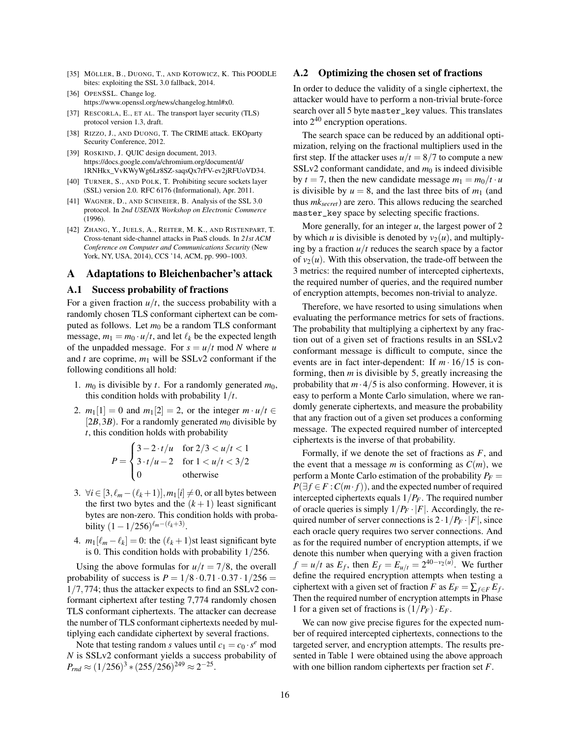- <span id="page-15-0"></span>[35] MÖLLER, B., DUONG, T., AND KOTOWICZ, K. This POODLE bites: exploiting the SSL 3.0 fallback, 2014.
- <span id="page-15-6"></span>[36] OPENSSL. Change log. [https://www.openssl.org/news/changelog.html#x0.](https://www.openssl.org/news/changelog.html#x0)
- <span id="page-15-10"></span>[37] RESCORLA, E., ET AL. The transport layer security (TLS) protocol version 1.3, draft.
- <span id="page-15-8"></span>[38] RIZZO, J., AND DUONG, T. The CRIME attack. EKOparty Security Conference, 2012.
- <span id="page-15-7"></span>[39] ROSKIND, J. QUIC design document, 2013. [https://docs.google.com/a/chromium.org/document/d/](https://docs.google.com/a/chromium.org/document/d/1RNHkx_VvKWyWg6Lr8SZ-saqsQx7rFV-ev2jRFUoVD34) [1RNHkx\\_VvKWyWg6Lr8SZ-saqsQx7rFV-ev2jRFUoVD34.](https://docs.google.com/a/chromium.org/document/d/1RNHkx_VvKWyWg6Lr8SZ-saqsQx7rFV-ev2jRFUoVD34)
- <span id="page-15-2"></span>[40] TURNER, S., AND POLK, T. Prohibiting secure sockets layer (SSL) version 2.0. RFC 6176 (Informational), Apr. 2011.
- <span id="page-15-1"></span>[41] WAGNER, D., AND SCHNEIER, B. Analysis of the SSL 3.0 protocol. In *2nd USENIX Workshop on Electronic Commerce* (1996).
- <span id="page-15-9"></span>[42] ZHANG, Y., JUELS, A., REITER, M. K., AND RISTENPART, T. Cross-tenant side-channel attacks in PaaS clouds. In *21st ACM Conference on Computer and Communications Security* (New York, NY, USA, 2014), CCS '14, ACM, pp. 990–1003.

#### <span id="page-15-5"></span>A Adaptations to Bleichenbacher's attack

#### <span id="page-15-3"></span>A.1 Success probability of fractions

For a given fraction  $u/t$ , the success probability with a randomly chosen TLS conformant ciphertext can be computed as follows. Let  $m_0$  be a random TLS conformant message,  $m_1 = m_0 \cdot u/t$ , and let  $\ell_k$  be the expected length of the unpadded message. For  $s = u/t$  mod *N* where *u* and  $t$  are coprime,  $m_1$  will be SSLv2 conformant if the following conditions all hold:

- 1.  $m_0$  is divisible by *t*. For a randomly generated  $m_0$ , this condition holds with probability 1/*t*.
- 2.  $m_1[1] = 0$  and  $m_1[2] = 2$ , or the integer  $m \cdot u/t \in$ [ $2B$ ,  $3B$ ). For a randomly generated  $m_0$  divisible by *t*, this condition holds with probability

$$
P = \begin{cases} 3 - 2 \cdot t/u & \text{for } 2/3 < u/t < 1 \\ 3 \cdot t/u - 2 & \text{for } 1 < u/t < 3/2 \\ 0 & \text{otherwise} \end{cases}
$$

- 3.  $\forall i \in [3, \ell_m (\ell_k + 1)], m_1[i] \neq 0$ , or all bytes between the first two bytes and the  $(k+1)$  least significant bytes are non-zero. This condition holds with probability  $(1 - 1/256)^{\ell_m - (\ell_k + 3)}$ .
- 4.  $m_1[\ell_m \ell_k] = 0$ : the  $(\ell_k + 1)$ st least significant byte is 0. This condition holds with probability 1/256.

Using the above formulas for  $u/t = 7/8$ , the overall probability of success is  $P = 1/8 \cdot 0.71 \cdot 0.37 \cdot 1/256 =$  $1/7,774$ ; thus the attacker expects to find an SSL $v^2$  conformant ciphertext after testing 7,774 randomly chosen TLS conformant ciphertexts. The attacker can decrease the number of TLS conformant ciphertexts needed by multiplying each candidate ciphertext by several fractions.

Note that testing random *s* values until  $c_1 = c_0 \cdot s^e \mod 1$ *N* is SSLv2 conformant yields a success probability of  $P_{rnd} \approx (1/256)^3 * (255/256)^{249} \approx 2^{-25}.$ 

#### A.2 Optimizing the chosen set of fractions

In order to deduce the validity of a single ciphertext, the attacker would have to perform a non-trivial brute-force search over all 5 byte master\_key values. This translates into  $2^{40}$  encryption operations.

The search space can be reduced by an additional optimization, relying on the fractional multipliers used in the first step. If the attacker uses  $u/t = 8/7$  to compute a new SSLv2 conformant candidate, and  $m_0$  is indeed divisible by  $t = 7$ , then the new candidate message  $m_1 = m_0/t \cdot u$ is divisible by  $u = 8$ , and the last three bits of  $m_1$  (and thus *mksecret*) are zero. This allows reducing the searched master\_key space by selecting specific fractions.

More generally, for an integer *u*, the largest power of 2 by which *u* is divisible is denoted by  $v_2(u)$ , and multiplying by a fraction  $u/t$  reduces the search space by a factor of  $v_2(u)$ . With this observation, the trade-off between the 3 metrics: the required number of intercepted ciphertexts, the required number of queries, and the required number of encryption attempts, becomes non-trivial to analyze.

Therefore, we have resorted to using simulations when evaluating the performance metrics for sets of fractions. The probability that multiplying a ciphertext by any fraction out of a given set of fractions results in an SSLv2 conformant message is difficult to compute, since the events are in fact inter-dependent: If  $m \cdot 16/15$  is conforming, then *m* is divisible by 5, greatly increasing the probability that  $m \cdot 4/5$  is also conforming. However, it is easy to perform a Monte Carlo simulation, where we randomly generate ciphertexts, and measure the probability that any fraction out of a given set produces a conforming message. The expected required number of intercepted ciphertexts is the inverse of that probability.

Formally, if we denote the set of fractions as *F*, and the event that a message *m* is conforming as  $C(m)$ , we perform a Monte Carlo estimation of the probability  $P_F =$  $P(\exists f \in F : C(m \cdot f))$ , and the expected number of required intercepted ciphertexts equals 1/*PF*. The required number of oracle queries is simply  $1/P_F \cdot |F|$ . Accordingly, the required number of server connections is  $2 \cdot 1/P_F \cdot |F|$ , since each oracle query requires two server connections. And as for the required number of encryption attempts, if we denote this number when querying with a given fraction *f* = *u*/*t* as *E<sub>f</sub>*, then  $E_f = E_{u/t} = 2^{40-v_2(u)}$ . We further define the required encryption attempts when testing a ciphertext with a given set of fraction *F* as  $E_F = \sum_{f \in F} E_f$ . Then the required number of encryption attempts in Phase 1 for a given set of fractions is  $(1/P_F) \cdot E_F$ .

<span id="page-15-4"></span>We can now give precise figures for the expected number of required intercepted ciphertexts, connections to the targeted server, and encryption attempts. The results presented in Table [1](#page-7-2) were obtained using the above approach with one billion random ciphertexts per fraction set *F*.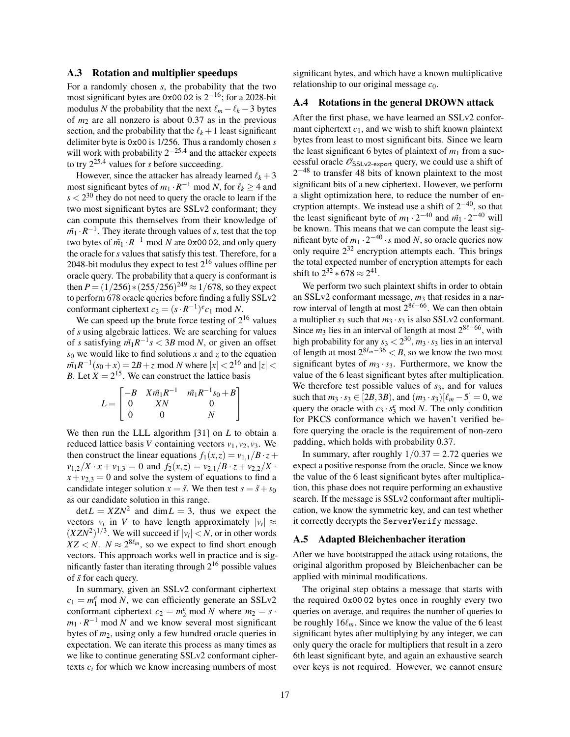#### A.3 Rotation and multiplier speedups

For a randomly chosen *s*, the probability that the two most significant bytes are 0x00 02 is  $2^{-16}$ ; for a 2028-bit modulus *N* the probability that the next  $\ell_m - \ell_k - 3$  bytes of  $m<sub>2</sub>$  are all nonzero is about 0.37 as in the previous section, and the probability that the  $\ell_k + 1$  least significant delimiter byte is 0x00 is 1/256. Thus a randomly chosen *s* will work with probability  $2^{-25.4}$  and the attacker expects to try 225.<sup>4</sup> values for *s* before succeeding.

However, since the attacker has already learned  $\ell_k + 3$ most significant bytes of  $m_1 \cdot R^{-1}$  mod *N*, for  $\ell_k \ge 4$  and  $s < 2^{30}$  they do not need to query the oracle to learn if the two most significant bytes are SSLv2 conformant; they can compute this themselves from their knowledge of  $m_1 \cdot R^{-1}$ . They iterate through values of *s*, test that the top two bytes of *m*˜<sup>1</sup> ·*R* <sup>−</sup><sup>1</sup> mod *N* are 0x00 02, and only query the oracle for *s* values that satisfy this test. Therefore, for a 2048-bit modulus they expect to test  $2^{16}$  values offline per oracle query. The probability that a query is conformant is then  $P = (1/256) * (255/256)^{249} \approx 1/678$ , so they expect to perform 678 oracle queries before finding a fully SSLv2 conformant ciphertext  $c_2 = (s \cdot R^{-1})^e c_1 \text{ mod } N$ .

We can speed up the brute force testing of  $2^{16}$  values of *s* using algebraic lattices. We are searching for values of *s* satisfying  $\tilde{m_1}R^{-1}s < 3B \text{ mod } N$ , or given an offset  $s_0$  we would like to find solutions *x* and *z* to the equation  $m_1 R^{-1} (s_0 + x) = 2B + z \mod N$  where  $|x| < 2^{16}$  and  $|z| <$ *B*. Let  $X = 2^{15}$ . We can construct the lattice basis

$$
L = \begin{bmatrix} -B & X\tilde{m_1}R^{-1} & \tilde{m_1}R^{-1}s_0 + B \\ 0 & XN & 0 \\ 0 & 0 & N \end{bmatrix}
$$

We then run the LLL algorithm [\[31\]](#page-14-33) on *L* to obtain a reduced lattice basis *V* containing vectors  $v_1$ ,  $v_2$ ,  $v_3$ . We then construct the linear equations  $f_1(x, z) = v_{1,1}/B \cdot z +$  $v_{1,2}/X \cdot x + v_{1,3} = 0$  and  $f_2(x,z) = v_{2,1}/B \cdot z + v_{2,2}/X$ .  $x + v_{2,3} = 0$  and solve the system of equations to find a candidate integer solution  $x = \tilde{s}$ . We then test  $s = \tilde{s} + s_0$ as our candidate solution in this range.

 $det L = XZN^2$  and  $dim L = 3$ , thus we expect the vectors  $v_i$  in *V* to have length approximately  $|v_i| \approx$  $(XZN^2)^{1/3}$ . We will succeed if  $|v_i| < N$ , or in other words  $XZ < N$ .  $N \approx 2^{8\ell_m}$ , so we expect to find short enough vectors. This approach works well in practice and is significantly faster than iterating through  $2^{16}$  possible values of ˜*s* for each query.

In summary, given an SSLv2 conformant ciphertext  $c_1 = m_1^e \text{ mod } N$ , we can efficiently generate an SSLv2 conformant ciphertext  $c_2 = m_2^e \text{ mod } N$  where  $m_2 = s$ .  $m_1 \cdot R^{-1}$  mod *N* and we know several most significant bytes of *m*2, using only a few hundred oracle queries in expectation. We can iterate this process as many times as we like to continue generating SSLv2 conformant ciphertexts  $c_i$  for which we know increasing numbers of most significant bytes, and which have a known multiplicative relationship to our original message *c*0.

#### <span id="page-16-0"></span>A.4 Rotations in the general DROWN attack

After the first phase, we have learned an SSLv2 conformant ciphertext  $c_1$ , and we wish to shift known plaintext bytes from least to most significant bits. Since we learn the least significant 6 bytes of plaintext of  $m_1$  from a successful oracle  $\mathcal{O}_{\text{SSLv2-export}}$  query, we could use a shift of  $2^{-48}$  to transfer 48 bits of known plaintext to the most significant bits of a new ciphertext. However, we perform a slight optimization here, to reduce the number of encryption attempts. We instead use a shift of  $2^{-40}$ , so that the least significant byte of  $m_1 \cdot 2^{-40}$  and  $\tilde{m_1} \cdot 2^{-40}$  will be known. This means that we can compute the least significant byte of  $m_1 \cdot 2^{-40} \cdot s \mod N$ , so oracle queries now only require  $2^{32}$  encryption attempts each. This brings the total expected number of encryption attempts for each shift to  $2^{32} * 678 \approx 2^{41}$ .

We perform two such plaintext shifts in order to obtain an SSLv2 conformant message, *m*<sup>3</sup> that resides in a narrow interval of length at most  $2^{8\ell-66}$ . We can then obtain a multiplier  $s_3$  such that  $m_3 \cdot s_3$  is also SSLv2 conformant. Since  $m_3$  lies in an interval of length at most  $2^{8\ell-66}$ , with high probability for any  $s_3 < 2^{30}$ ,  $m_3 \cdot s_3$  lies in an interval of length at most  $2^{8\ell_m-36} < B$ , so we know the two most significant bytes of  $m_3 \cdot s_3$ . Furthermore, we know the value of the 6 least significant bytes after multiplication. We therefore test possible values of *s*<sub>3</sub>, and for values such that  $m_3 \cdot s_3 \in [2B,3B)$ , and  $(m_3 \cdot s_3)[\ell_m - 5] = 0$ , we query the oracle with  $c_3 \cdot s_3^e \mod N$ . The only condition for PKCS conformance which we haven't verified before querying the oracle is the requirement of non-zero padding, which holds with probability 0.37.

In summary, after roughly  $1/0.37 = 2.72$  queries we expect a positive response from the oracle. Since we know the value of the 6 least significant bytes after multiplication, this phase does not require performing an exhaustive search. If the message is SSLv2 conformant after multiplication, we know the symmetric key, and can test whether it correctly decrypts the ServerVerify message.

## <span id="page-16-1"></span>A.5 Adapted Bleichenbacher iteration

After we have bootstrapped the attack using rotations, the original algorithm proposed by Bleichenbacher can be applied with minimal modifications.

The original step obtains a message that starts with the required 0x00 02 bytes once in roughly every two queries on average, and requires the number of queries to be roughly  $16\ell_m$ . Since we know the value of the 6 least significant bytes after multiplying by any integer, we can only query the oracle for multipliers that result in a zero 6th least significant byte, and again an exhaustive search over keys is not required. However, we cannot ensure